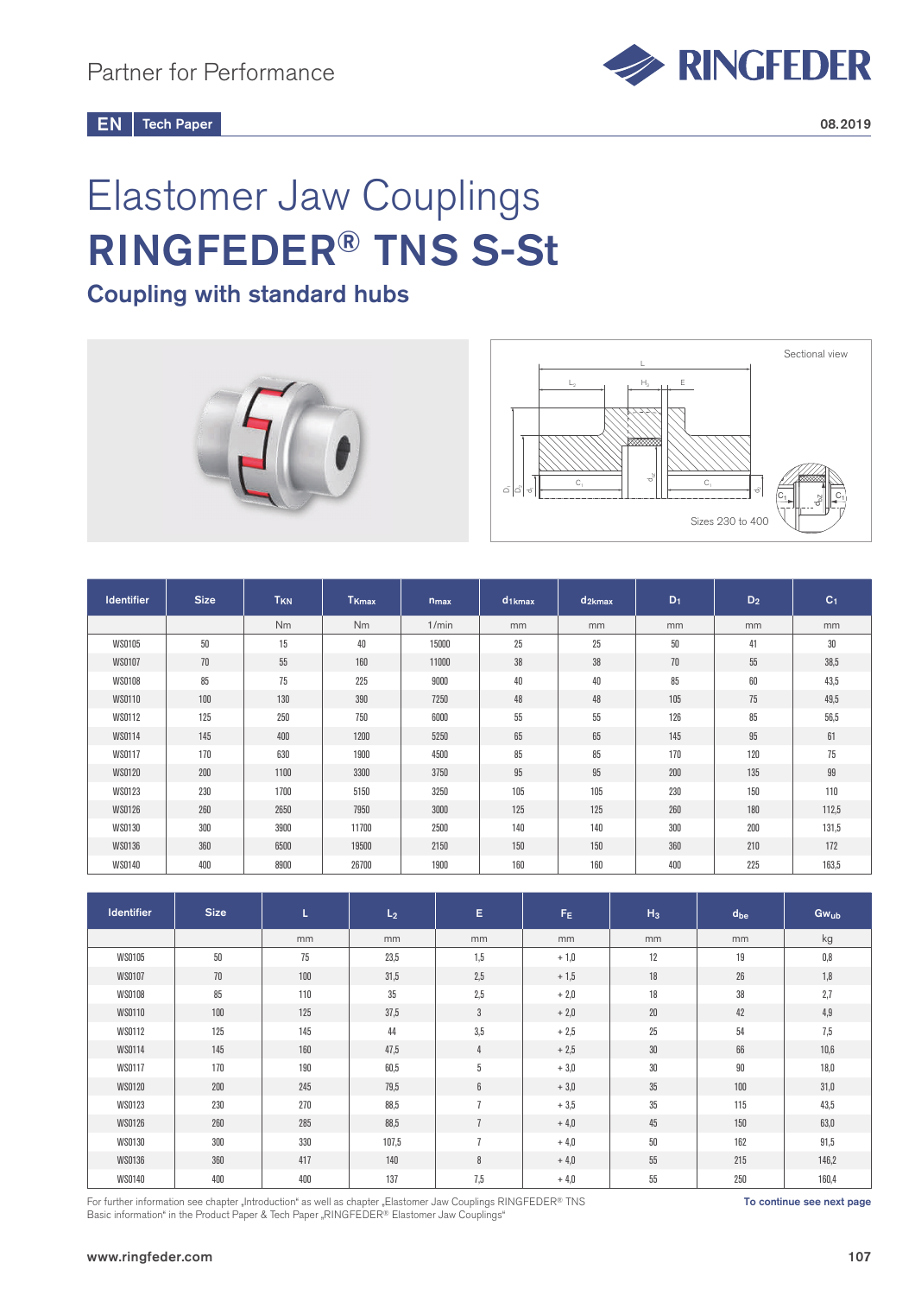Tech Paper  $EN$  Tech Paper 2008.2019

## Elastomer Jaw Couplings RINGFEDER® TNS S-St

## Coupling with standard hubs



| <b>Identifier</b> | <b>Size</b> | T <sub>KN</sub> | T <sub>Kmax</sub> | $n_{max}$ | $d_{1kmax}$ | $d_{2kmax}$ | $D_1$ | $D_2$ | C <sub>1</sub> |
|-------------------|-------------|-----------------|-------------------|-----------|-------------|-------------|-------|-------|----------------|
|                   |             | Nm              | <b>Nm</b>         | 1/min     | mm          | mm          | mm    | mm    | mm             |
| <b>WS0105</b>     | 50          | 15              | 40                | 15000     | 25          | 25          | 50    | 41    | 30             |
| <b>WS0107</b>     | 70          | 55              | 160               | 11000     | 38          | 38          | 70    | 55    | 38,5           |
| <b>WS0108</b>     | 85          | 75              | 225               | 9000      | 40          | 40          | 85    | 60    | 43,5           |
| <b>WS0110</b>     | 100         | 130             | 390               | 7250      | 48          | 48          | 105   | 75    | 49,5           |
| <b>WS0112</b>     | 125         | 250             | 750               | 6000      | 55          | 55          | 126   | 85    | 56,5           |
| WS0114            | 145         | 400             | 1200              | 5250      | 65          | 65          | 145   | 95    | 61             |
| <b>WS0117</b>     | 170         | 630             | 1900              | 4500      | 85          | 85          | 170   | 120   | 75             |
| <b>WS0120</b>     | 200         | 1100            | 3300              | 3750      | 95          | 95          | 200   | 135   | 99             |
| <b>WS0123</b>     | 230         | 1700            | 5150              | 3250      | 105         | 105         | 230   | 150   | 110            |
| <b>WS0126</b>     | 260         | 2650            | 7950              | 3000      | 125         | 125         | 260   | 180   | 112,5          |
| <b>WS0130</b>     | 300         | 3900            | 11700             | 2500      | 140         | 140         | 300   | 200   | 131,5          |
| WS0136            | 360         | 6500            | 19500             | 2150      | 150         | 150         | 360   | 210   | 172            |
| WS0140            | 400         | 8900            | 26700             | 1900      | 160         | 160         | 400   | 225   | 163,5          |

| <b>Identifier</b> | <b>Size</b> | L   | L <sub>2</sub> | E.             | F <sub>E</sub> | $H_3$  | d <sub>be</sub> | Gwub  |
|-------------------|-------------|-----|----------------|----------------|----------------|--------|-----------------|-------|
|                   |             | mm  | mm             | mm             | mm             | mm     | mm              | kg    |
| <b>WS0105</b>     | 50          | 75  | 23,5           | 1,5            | $+1,0$         | 12     | 19              | 0,8   |
| <b>WS0107</b>     | $70$        | 100 | 31,5           | 2,5            | $+1,5$         | 18     | 26              | 1,8   |
| <b>WS0108</b>     | 85          | 110 | 35             | 2,5            | $+2,0$         | 18     | 38              | 2,7   |
| <b>WS0110</b>     | 100         | 125 | 37,5           | $\mathbf{3}$   | $+2,0$         | $20\,$ | 42              | 4,9   |
| <b>WS0112</b>     | 125         | 145 | 44             | 3,5            | $+2,5$         | 25     | 54              | 7,5   |
| WS0114            | 145         | 160 | 47,5           | 4              | $+2,5$         | $30\,$ | 66              | 10,6  |
| <b>WS0117</b>     | 170         | 190 | 60,5           | 5              | $+3,0$         | 30     | 90              | 18,0  |
| <b>WS0120</b>     | 200         | 245 | 79,5           | 6              | $+3,0$         | 35     | 100             | 31,0  |
| <b>WS0123</b>     | 230         | 270 | 88,5           | $\overline{1}$ | $+3,5$         | 35     | 115             | 43,5  |
| <b>WS0126</b>     | 260         | 285 | 88,5           | $\overline{1}$ | $+4,0$         | 45     | 150             | 63,0  |
| <b>WS0130</b>     | 300         | 330 | 107,5          | $\overline{1}$ | $+4,0$         | $50\,$ | 162             | 91,5  |
| <b>WS0136</b>     | 360         | 417 | 140            | 8              | $+4,0$         | 55     | 215             | 146,2 |
| WS0140            | 400         | 400 | 137            | 7,5            | $+4,0$         | 55     | 250             | 160,4 |

For further information see chapter "Introduction" as well as chapter "Elastomer Jaw Couplings RINGFEDER® TNS Basic information" in the Product Paper & Tech Paper "RINGFEDER® Elastomer Jaw Couplings"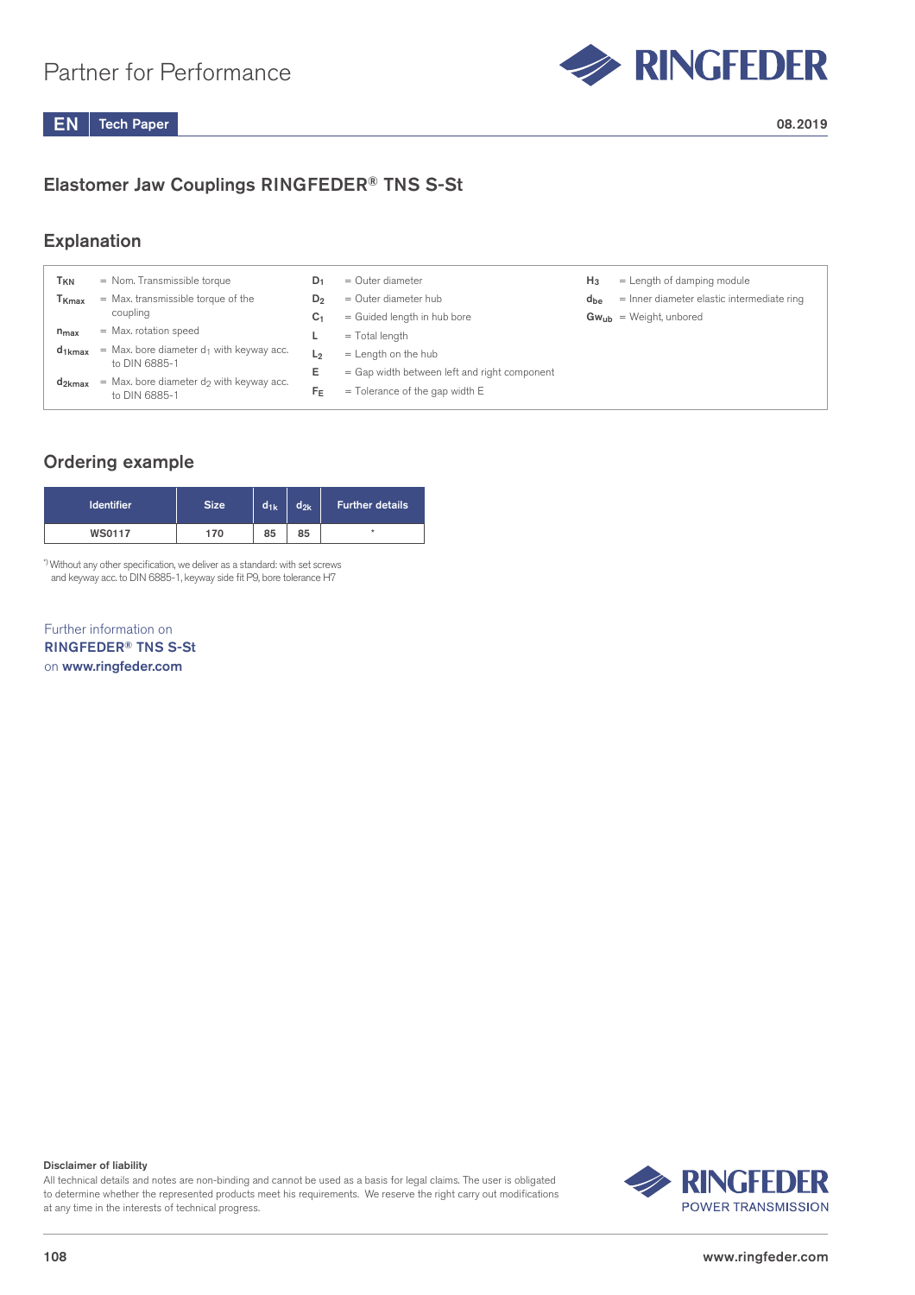

### Elastomer Jaw Couplings RINGFEDER® TNS S-St

#### Explanation

| <sup>I</sup> KN              | = Nom. Transmissible torque                                             | D1    | $=$ Outer diameter                           | $H_3$    | $=$ Length of damping module               |
|------------------------------|-------------------------------------------------------------------------|-------|----------------------------------------------|----------|--------------------------------------------|
| $\mathsf{T}_{\mathsf{Kmax}}$ | = Max. transmissible torque of the                                      | $D_2$ | $=$ Outer diameter hub                       | $d_{be}$ | = Inner diameter elastic intermediate ring |
|                              | coupling                                                                | C1    | = Guided length in hub bore                  |          | $Gw_{ub}$ = Weight, unbored                |
| $n_{max}$                    | $=$ Max. rotation speed                                                 |       | $=$ Total length                             |          |                                            |
| $d_{1kmax}$                  | $=$ Max. bore diameter d <sub>1</sub> with keyway acc.<br>to DIN 6885-1 | L2    | $=$ Length on the hub                        |          |                                            |
|                              | $=$ Max, bore diameter do with keyway acc.                              | Е     | = Gap width between left and right component |          |                                            |
| $d_{2kmax}$                  | to DIN 6885-1                                                           | FE    | $=$ Tolerance of the gap width E             |          |                                            |

#### Ordering example

| <b>Identifier</b> | <b>Size</b> | $d_{1k}$ | $d_{2k}$ | <b>Further details</b> |
|-------------------|-------------|----------|----------|------------------------|
| <b>WS0117</b>     | 170         | 85       | 85       | $\star$                |

\*) Without any other specification, we deliver as a standard: with set screws and keyway acc. to DIN 6885-1, keyway side fit P9, bore tolerance H7

Further information on RINGFEDER® TNS S-St on www.ringfeder.com

Disclaimer of liability

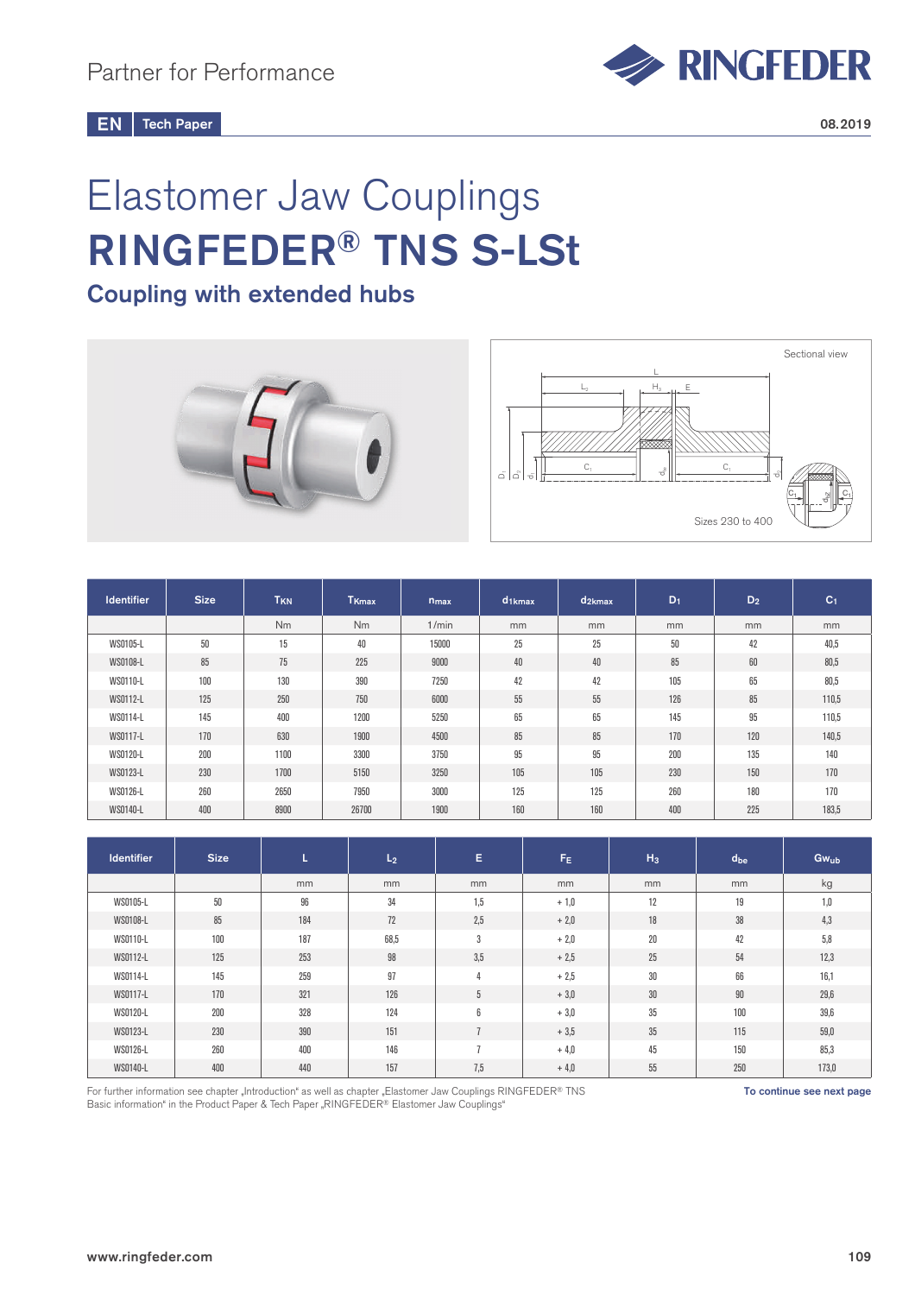

# Elastomer Jaw Couplings RINGFEDER® TNS S-LSt

## Coupling with extended hubs



| <b>Identifier</b> | <b>Size</b> | T <sub>KN</sub> | T <sub>Kmax</sub> | $n_{max}$ | $d_{1kmax}$ | $d_{2kmax}$ | $D_1$ | $D_2$ | C <sub>1</sub> |
|-------------------|-------------|-----------------|-------------------|-----------|-------------|-------------|-------|-------|----------------|
|                   |             | N <sub>m</sub>  | <b>Nm</b>         | 1/min     | mm          | mm          | mm    | mm    | mm             |
| WS0105-L          | 50          | 15              | 40                | 15000     | 25          | 25          | 50    | 42    | 40,5           |
| WS0108-L          | 85          | 75              | 225               | 9000      | 40          | 40          | 85    | 60    | 80,5           |
| WS0110-L          | 100         | 130             | 390               | 7250      | 42          | 42          | 105   | 65    | 80,5           |
| WS0112-L          | 125         | 250             | 750               | 6000      | 55          | 55          | 126   | 85    | 110,5          |
| WS0114-L          | 145         | 400             | 1200              | 5250      | 65          | 65          | 145   | 95    | 110,5          |
| WS0117-L          | 170         | 630             | 1900              | 4500      | 85          | 85          | 170   | 120   | 140,5          |
| WS0120-L          | 200         | 1100            | 3300              | 3750      | 95          | 95          | 200   | 135   | 140            |
| WS0123-L          | 230         | 1700            | 5150              | 3250      | 105         | 105         | 230   | 150   | 170            |
| WS0126-L          | 260         | 2650            | 7950              | 3000      | 125         | 125         | 260   | 180   | 170            |
| WS0140-L          | 400         | 8900            | 26700             | 1900      | 160         | 160         | 400   | 225   | 183,5          |

| <b>Identifier</b> | <b>Size</b> | ъ.  | L <sub>2</sub> | Е               | F <sub>E</sub> | $H_3$  | $d_{be}$ | Gwub  |
|-------------------|-------------|-----|----------------|-----------------|----------------|--------|----------|-------|
|                   |             | mm  | mm             | mm              | mm             | mm     | mm       | kg    |
| WS0105-L          | 50          | 96  | 34             | 1,5             | $+1,0$         | 12     | 19       | 1,0   |
| WS0108-L          | 85          | 184 | 72             | 2,5             | $+2,0$         | 18     | 38       | 4,3   |
| WS0110-L          | 100         | 187 | 68,5           | 3               | $+2,0$         | $20\,$ | 42       | 5,8   |
| WS0112-L          | 125         | 253 | 98             | 3,5             | $+2,5$         | 25     | 54       | 12,3  |
| WS0114-L          | 145         | 259 | 97             | 4               | $+2,5$         | 30     | 66       | 16,1  |
| WS0117-L          | 170         | 321 | 126            | $5\phantom{.0}$ | $+3,0$         | 30     | 90       | 29,6  |
| WS0120-L          | 200         | 328 | 124            | 6               | $+3,0$         | 35     | 100      | 39,6  |
| WS0123-L          | 230         | 390 | 151            | $\overline{7}$  | $+3,5$         | 35     | 115      | 59,0  |
| WS0126-L          | 260         | 400 | 146            | $\overline{ }$  | $+4,0$         | 45     | 150      | 85,3  |
| WS0140-L          | 400         | 440 | 157            | 7,5             | $+4,0$         | 55     | 250      | 173,0 |

For further information see chapter "Introduction" as well as chapter "Elastomer Jaw Couplings RINGFEDER® TNS Basic information" in the Product Paper & Tech Paper "RINGFEDER® Elastomer Jaw Couplings"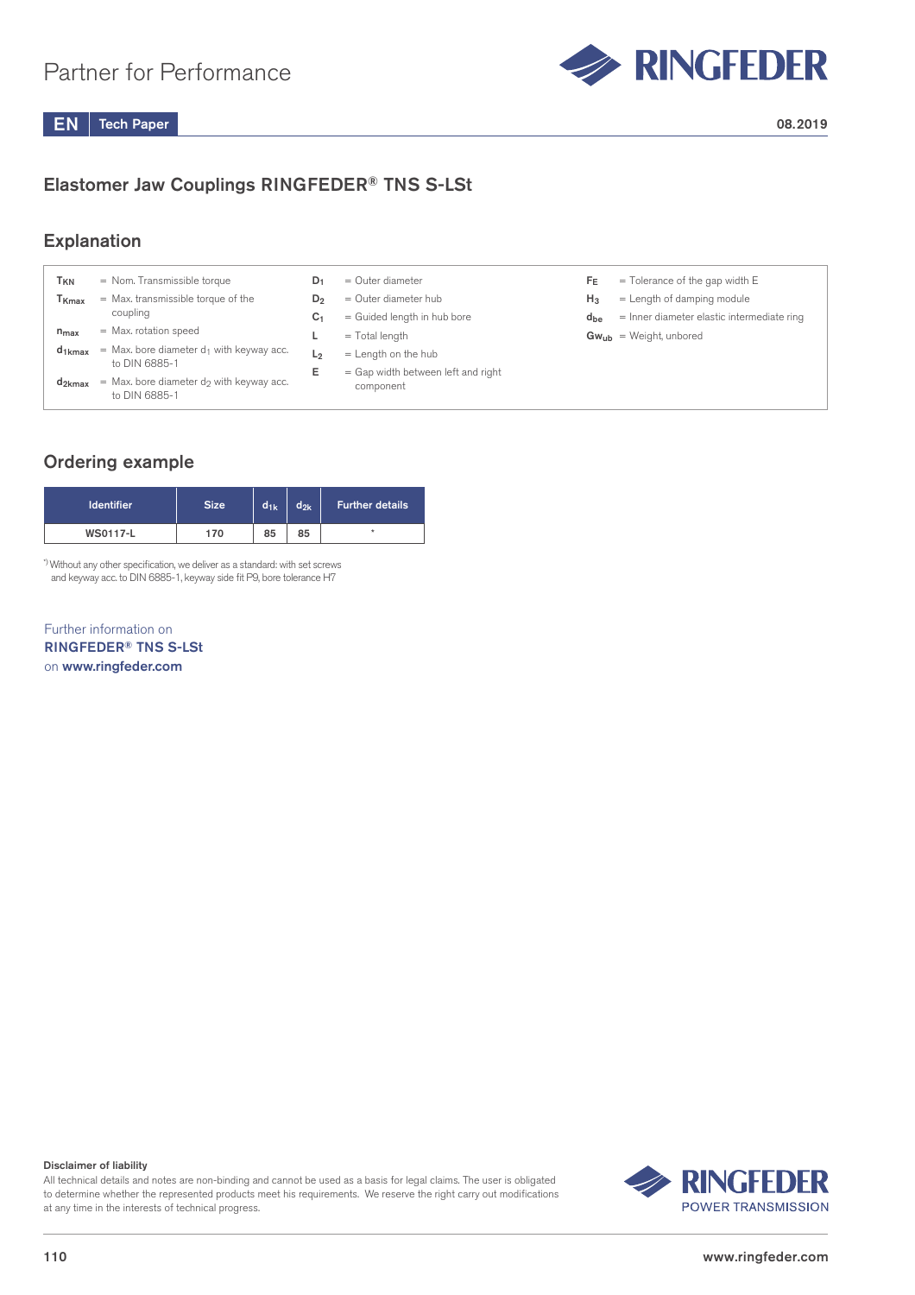

### Elastomer Jaw Couplings RINGFEDER® TNS S-LSt

#### Explanation

| Гкм                          | $=$ Nom. Transmissible torque                                           | D1             | $=$ Outer diameter                 | Fε       | $=$ Tolerance of the gap width E           |
|------------------------------|-------------------------------------------------------------------------|----------------|------------------------------------|----------|--------------------------------------------|
| $\mathsf{T}_{\mathsf{Kmax}}$ | = Max. transmissible torque of the                                      | $D_2$          | $=$ Outer diameter hub             | $H_3$    | $=$ Length of damping module               |
|                              | coupling                                                                | C1             | = Guided length in hub bore        | $d_{be}$ | = Inner diameter elastic intermediate ring |
| $n_{max}$                    | $=$ Max. rotation speed                                                 |                | $=$ Total length                   |          | $Gw_{ub}$ = Weight, unbored                |
| $d_1$ <sub>kmax</sub>        | $=$ Max. bore diameter $d_1$ with keyway acc.                           | L <sub>2</sub> | $=$ Length on the hub              |          |                                            |
|                              | to DIN 6885-1                                                           | Е              | = Gap width between left and right |          |                                            |
| $d_{2kmax}$                  | $=$ Max. bore diameter d <sub>2</sub> with keyway acc.<br>to DIN 6885-1 |                | component                          |          |                                            |

### Ordering example

| <b>Identifier</b> | <b>Size</b> | $d_{1k}$ | $d_{2k}$ | <b>Further details</b> |
|-------------------|-------------|----------|----------|------------------------|
| <b>WS0117-L</b>   | 170         | 85       | 85       | $\star$                |

\*) Without any other specification, we deliver as a standard: with set screws and keyway acc. to DIN 6885-1, keyway side fit P9, bore tolerance H7

Further information on RINGFEDER® TNS S-LSt on www.ringfeder.com

#### Disclaimer of liability

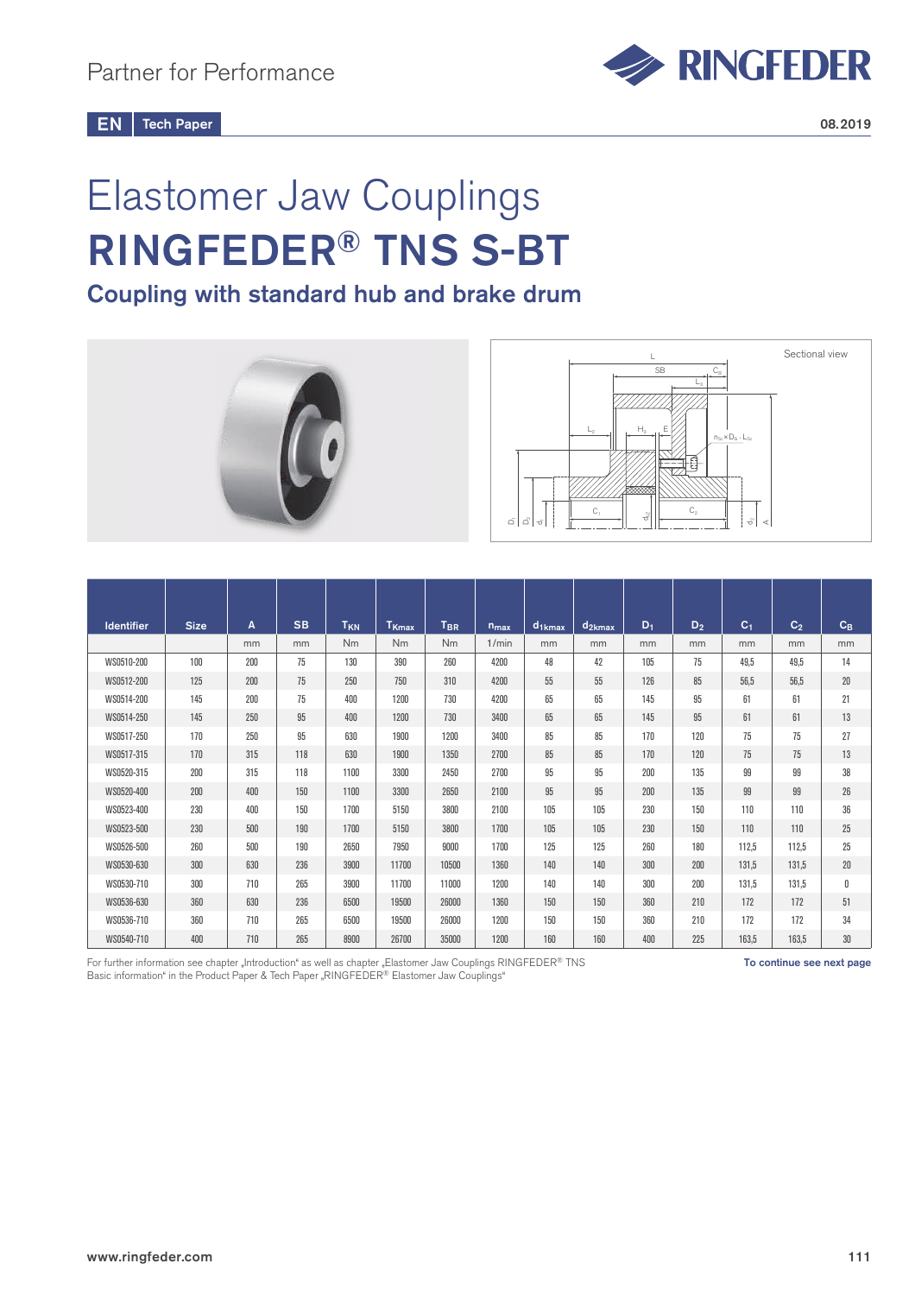# Elastomer Jaw Couplings RINGFEDER® TNS S-BT

Coupling with standard hub and brake drum





| <b>Identifier</b> | <b>Size</b> | A   | <b>SB</b> | T <sub>KN</sub> | T <sub>Kmax</sub> | T <sub>BR</sub> | n <sub>max</sub> | $d_{1kmax}$ | $d_{2kmax}$ | $D_1$ | $D_2$ | C <sub>1</sub> | C <sub>2</sub> | $C_B$           |
|-------------------|-------------|-----|-----------|-----------------|-------------------|-----------------|------------------|-------------|-------------|-------|-------|----------------|----------------|-----------------|
|                   |             | mm  | mm        | Nm              | <b>Nm</b>         | <b>Nm</b>       | 1/min            | mm          | mm          | mm    | mm    | mm             | mm             | mm              |
| WS0510-200        | 100         | 200 | 75        | 130             | 390               | 260             | 4200             | 48          | 42          | 105   | 75    | 49.5           | 49,5           | 14              |
| WS0512-200        | 125         | 200 | 75        | 250             | 750               | 310             | 4200             | 55          | 55          | 126   | 85    | 56.5           | 56.5           | 20              |
| WS0514-200        | 145         | 200 | 75        | 400             | 1200              | 730             | 4200             | 65          | 65          | 145   | 95    | 61             | 61             | 21              |
| WS0514-250        | 145         | 250 | 95        | 400             | 1200              | 730             | 3400             | 65          | 65          | 145   | 95    | 61             | 61             | 13              |
| WS0517-250        | 170         | 250 | 95        | 630             | 1900              | 1200            | 3400             | 85          | 85          | 170   | 120   | 75             | 75             | 27              |
| WS0517-315        | 170         | 315 | 118       | 630             | 1900              | 1350            | 2700             | 85          | 85          | 170   | 120   | 75             | 75             | 13              |
| WS0520-315        | 200         | 315 | 118       | 1100            | 3300              | 2450            | 2700             | 95          | 95          | 200   | 135   | 99             | 99             | 38              |
| WS0520-400        | 200         | 400 | 150       | 1100            | 3300              | 2650            | 2100             | 95          | 95          | 200   | 135   | 99             | 99             | 26              |
| WS0523-400        | 230         | 400 | 150       | 1700            | 5150              | 3800            | 2100             | 105         | 105         | 230   | 150   | 110            | 110            | 36              |
| WS0523-500        | 230         | 500 | 190       | 1700            | 5150              | 3800            | 1700             | 105         | 105         | 230   | 150   | 110            | 110            | 25              |
| WS0526-500        | 260         | 500 | 190       | 2650            | 7950              | 9000            | 1700             | 125         | 125         | 260   | 180   | 112,5          | 112,5          | 25              |
| WS0530-630        | 300         | 630 | 236       | 3900            | 11700             | 10500           | 1360             | 140         | 140         | 300   | 200   | 131.5          | 131,5          | 20 <sup>°</sup> |
| WS0530-710        | 300         | 710 | 265       | 3900            | 11700             | 11000           | 1200             | 140         | 140         | 300   | 200   | 131.5          | 131,5          | 0               |
| WS0536-630        | 360         | 630 | 236       | 6500            | 19500             | 26000           | 1360             | 150         | 150         | 360   | 210   | 172            | 172            | 51              |
| WS0536-710        | 360         | 710 | 265       | 6500            | 19500             | 26000           | 1200             | 150         | 150         | 360   | 210   | 172            | 172            | 34              |
| WS0540-710        | 400         | 710 | 265       | 8900            | 26700             | 35000           | 1200             | 160         | 160         | 400   | 225   | 163.5          | 163,5          | 30              |

For further information see chapter "Introduction" as well as chapter "Elastomer Jaw Couplings RINGFEDER® TNS **To continue see next page** Basic information" in the Product Paper & Tech Paper "RINGFEDER® Elastomer Jaw Couplings"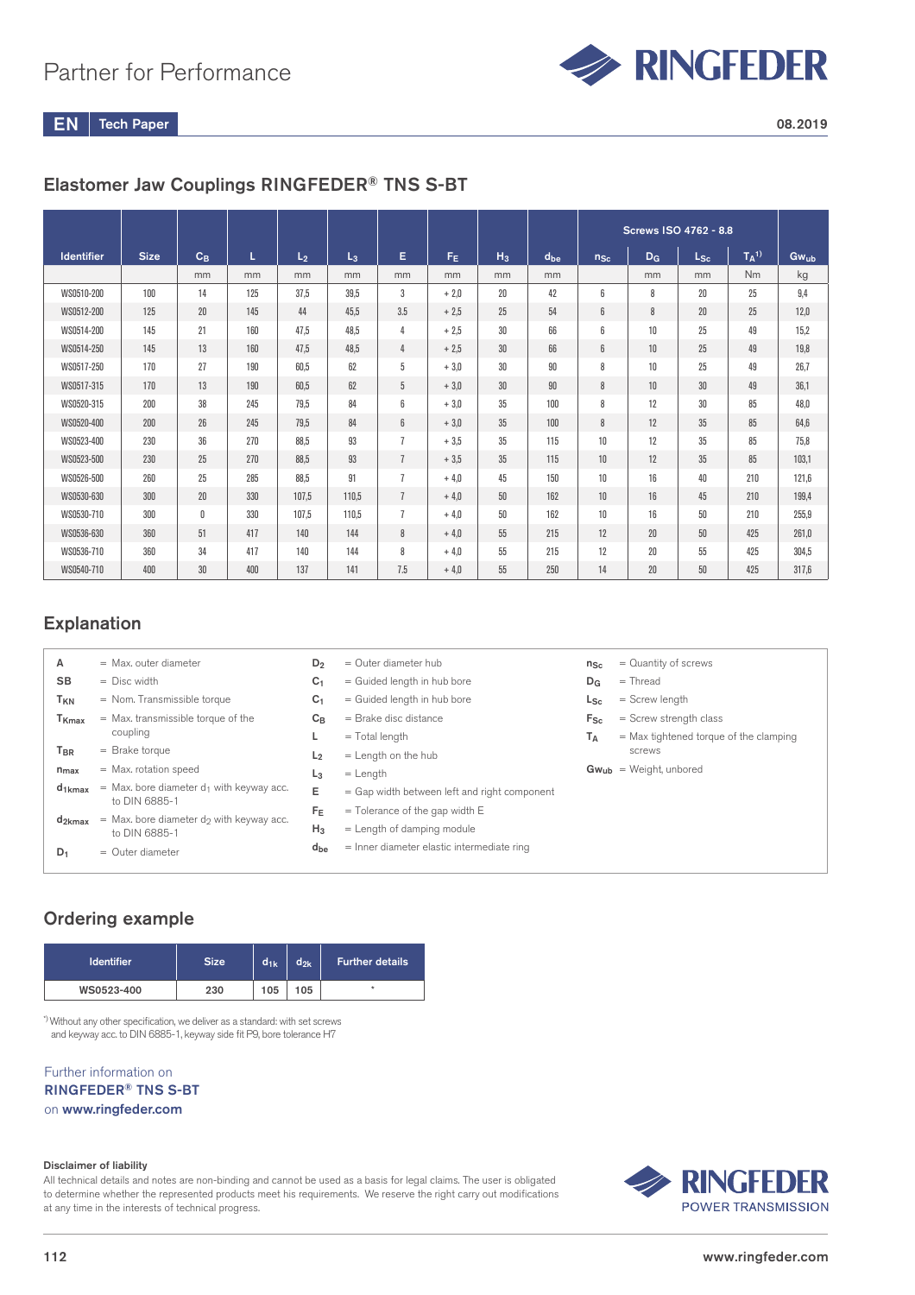

Tech Paper  $EN \parallel$  Tech Paper 2008.2019

### Elastomer Jaw Couplings RINGFEDER® TNS S-BT

|                   |             |                 |     |                |       |                |        |       |          |          |       | Screws ISO 4762 - 8.8 |                     |             |
|-------------------|-------------|-----------------|-----|----------------|-------|----------------|--------|-------|----------|----------|-------|-----------------------|---------------------|-------------|
| <b>Identifier</b> | <b>Size</b> | $C_B$           | L   | L <sub>2</sub> | $L_3$ | Е              | FF.    | $H_3$ | $d_{be}$ | $n_{Sc}$ | $D_G$ | $L_{\rm Sc}$          | $T_A$ <sup>1)</sup> | <b>Gwub</b> |
|                   |             | mm              | mm  | mm             | mm    | mm             | mm     | mm    | mm       |          | mm    | mm                    | Nm                  | kg          |
| WS0510-200        | 100         | 14              | 125 | 37.5           | 39.5  | 3              | $+2.0$ | 20    | 42       | 6        | 8     | 20                    | 25                  | 9,4         |
| WS0512-200        | 125         | 20 <sup>°</sup> | 145 | 44             | 45,5  | 3.5            | $+2.5$ | 25    | 54       | 6        | 8     | 20                    | 25                  | 12,0        |
| WS0514-200        | 145         | 21              | 160 | 47.5           | 48,5  | 4              | $+2.5$ | 30    | 66       | 6        | 10    | 25                    | 49                  | 15,2        |
| WS0514-250        | 145         | 13              | 160 | 47.5           | 48,5  | 4              | $+2.5$ | 30    | 66       | 6        | 10    | 25                    | 49                  | 19,8        |
| WS0517-250        | 170         | 27              | 190 | 60.5           | 62    | 5              | $+3.0$ | 30    | 90       | 8        | 10    | 25                    | 49                  | 26,7        |
| WS0517-315        | 170         | 13              | 190 | 60.5           | 62    | 5              | $+3.0$ | 30    | 90       | 8        | 10    | 30                    | 49                  | 36.1        |
| WS0520-315        | 200         | 38              | 245 | 79.5           | 84    | 6              | $+3.0$ | 35    | 100      | 8        | 12    | 30                    | 85                  | 48,0        |
| WS0520-400        | 200         | 26              | 245 | 79.5           | 84    | 6              | $+3.0$ | 35    | 100      | 8        | 12    | 35                    | 85                  | 64.6        |
| WS0523-400        | 230         | 36              | 270 | 88.5           | 93    | $\overline{1}$ | $+3.5$ | 35    | 115      | 10       | 12    | 35                    | 85                  | 75,8        |
| WS0523-500        | 230         | 25              | 270 | 88.5           | 93    | $\overline{1}$ | $+3.5$ | 35    | 115      | 10       | 12    | 35                    | 85                  | 103,1       |
| WS0526-500        | 260         | 25              | 285 | 88,5           | 91    | 7              | $+4.0$ | 45    | 150      | 10       | 16    | 40                    | 210                 | 121,6       |
| WS0530-630        | 300         | 20              | 330 | 107.5          | 110.5 | $\overline{1}$ | $+4.0$ | 50    | 162      | 10       | 16    | 45                    | 210                 | 199,4       |
| WS0530-710        | 300         | 0               | 330 | 107.5          | 110,5 | $\overline{1}$ | $+4.0$ | 50    | 162      | 10       | 16    | 50                    | 210                 | 255,9       |
| WS0536-630        | 360         | 51              | 417 | 140            | 144   | 8              | $+4.0$ | 55    | 215      | 12       | 20    | 50                    | 425                 | 261,0       |
| WS0536-710        | 360         | 34              | 417 | 140            | 144   | 8              | $+4.0$ | 55    | 215      | 12       | 20    | 55                    | 425                 | 304,5       |
| WS0540-710        | 400         | 30              | 400 | 137            | 141   | 7.5            | $+4.0$ | 55    | 250      | 14       | 20    | 50                    | 425                 | 317,6       |

#### Explanation

| Α                 | $=$ Max, outer diameter                                      | $D_2$          | $=$ Outer diameter hub                       | $n_{Sc}$       | $=$ Quantity of screws                   |
|-------------------|--------------------------------------------------------------|----------------|----------------------------------------------|----------------|------------------------------------------|
| <b>SB</b>         | $=$ Disc width                                               | C <sub>1</sub> | = Guided length in hub bore                  | $D_G$          | $=$ Thread                               |
| T <sub>KN</sub>   | = Nom. Transmissible torque                                  | C <sub>1</sub> | = Guided length in hub bore                  | $L_{\rm Sc}$   | $=$ Screw length                         |
| T <sub>Kmax</sub> | = Max. transmissible torque of the                           | $C_{B}$        | $=$ Brake disc distance                      | $F_{\rm Sc}$   | $=$ Screw strength class                 |
|                   | coupling                                                     |                | $=$ Total length                             | T <sub>A</sub> | $=$ Max tightened torque of the clamping |
| T <sub>BR</sub>   | $=$ Brake torque                                             | L <sub>2</sub> | $=$ Length on the hub                        |                | screws                                   |
| $n_{\text{max}}$  | $=$ Max. rotation speed                                      | $L_3$          | $=$ Length                                   |                | $Gw_{ub}$ = Weight, unbored              |
| $d_{1kmax}$       | = Max. bore diameter $d_1$ with keyway acc.<br>to DIN 6885-1 | E              | = Gap width between left and right component |                |                                          |
|                   |                                                              | $F_E$          | $=$ Tolerance of the gap width E             |                |                                          |
| $d_{2kmax}$       | $=$ Max, bore diameter do with keyway acc.<br>to DIN 6885-1  | $H_3$          | $=$ Length of damping module                 |                |                                          |
| $D_1$             | $=$ Outer diameter                                           | $d_{be}$       | $=$ Inner diameter elastic intermediate ring |                |                                          |
|                   |                                                              |                |                                              |                |                                          |
|                   |                                                              |                |                                              |                |                                          |

### Ordering example

| <b>Identifier</b> | <b>Size</b> | $d_{1k}$ | $d_{2k}$ | <b>Further details</b> |
|-------------------|-------------|----------|----------|------------------------|
| WS0523-400        | 230         | 105      | 105      | ÷                      |

\*) Without any other specification, we deliver as a standard: with set screws and keyway acc. to DIN 6885-1, keyway side fit P9, bore tolerance H7

#### Further information on RINGFEDER® TNS S-BT on www.ringfeder.com

#### Disclaimer of liability

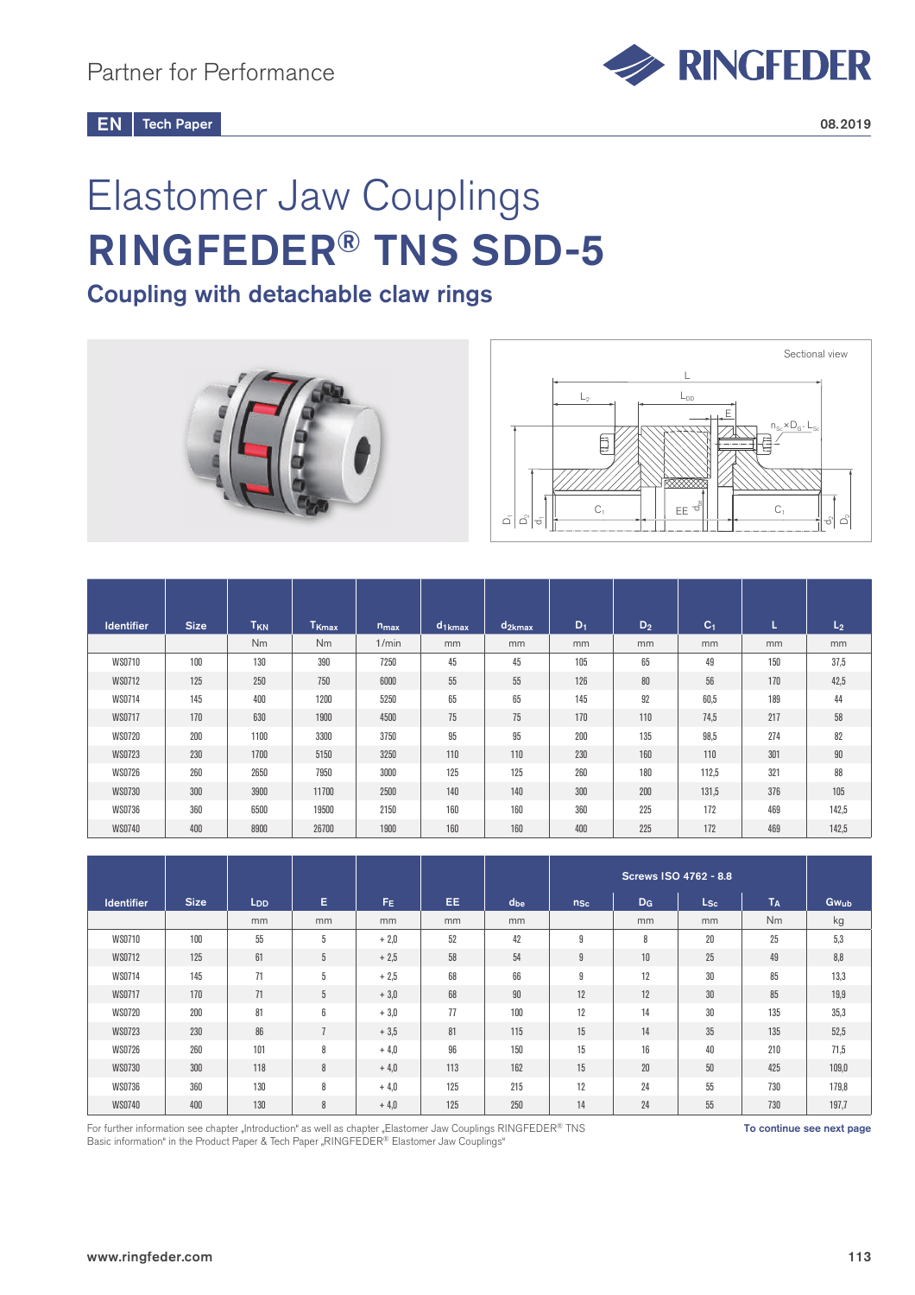

# Elastomer Jaw Couplings RINGFEDER® TNS SDD-5

Coupling with detachable claw rings



| <b>Identifier</b> | <b>Size</b> | T <sub>KN</sub> | T <sub>Kmax</sub> | $n_{max}$ | d <sub>1kmax</sub> | $d_{2kmax}$ | $D_1$ | $D_2$ | C <sub>1</sub> | L.  | L <sub>2</sub> |
|-------------------|-------------|-----------------|-------------------|-----------|--------------------|-------------|-------|-------|----------------|-----|----------------|
|                   |             | <b>Nm</b>       | N <sub>m</sub>    | 1/min     | mm                 | mm          | mm    | mm    | mm             | mm  | mm             |
| <b>WS0710</b>     | 100         | 130             | 390               | 7250      | 45                 | 45          | 105   | 65    | 49             | 150 | 37,5           |
| WS0712            | 125         | 250             | 750               | 6000      | 55                 | 55          | 126   | 80    | 56             | 170 | 42,5           |
| <b>WS0714</b>     | 145         | 400             | 1200              | 5250      | 65                 | 65          | 145   | 92    | 60,5           | 189 | 44             |
| WS0717            | 170         | 630             | 1900              | 4500      | 75                 | 75          | 170   | 110   | 74,5           | 217 | 58             |
| <b>WS0720</b>     | 200         | 1100            | 3300              | 3750      | 95                 | 95          | 200   | 135   | 98,5           | 274 | 82             |
| <b>WS0723</b>     | 230         | 1700            | 5150              | 3250      | 110                | 110         | 230   | 160   | 110            | 301 | $90\,$         |
| <b>WS0726</b>     | 260         | 2650            | 7950              | 3000      | 125                | 125         | 260   | 180   | 112,5          | 321 | 88             |
| <b>WS0730</b>     | 300         | 3900            | 11700             | 2500      | 140                | 140         | 300   | 200   | 131,5          | 376 | 105            |
| <b>WS0736</b>     | 360         | 6500            | 19500             | 2150      | 160                | 160         | 360   | 225   | 172            | 469 | 142,5          |
| <b>WS0740</b>     | 400         | 8900            | 26700             | 1900      | 160                | 160         | 400   | 225   | 172            | 469 | 142,5          |

| <b>Identifier</b> | <b>Size</b> | L <sub>DD</sub> | Е             | $F_E$  | EE. | $d_{be}$ | $n_{Sc}$ | $D_G$ | $L_{\mathsf{Sc}}$ | T <sub>A</sub> | Gw <sub>ub</sub> |
|-------------------|-------------|-----------------|---------------|--------|-----|----------|----------|-------|-------------------|----------------|------------------|
|                   |             | mm              | mm            | mm     | mm  | mm       |          | mm    | mm                | N <sub>m</sub> | kg               |
| <b>WS0710</b>     | 100         | 55              | 5             | $+2,0$ | 52  | 42       | g        | 8     | 20                | 25             | 5,3              |
| <b>WS0712</b>     | 125         | 61              | 5             | $+2,5$ | 58  | 54       | 9        | 10    | 25                | 49             | 8,8              |
| WS0714            | 145         | 71              | 5             | $+2.5$ | 68  | 66       | 9        | 12    | 30                | 85             | 13,3             |
| WS0717            | 170         | 71              | 5             | $+3.0$ | 68  | 90       | 12       | 12    | 30                | 85             | 19,9             |
| <b>WS0720</b>     | 200         | 81              | 6             | $+3,0$ | 77  | 100      | 12       | 14    | 30                | 135            | 35,3             |
| <b>WS0723</b>     | 230         | 86              | $\rightarrow$ | $+3.5$ | 81  | 115      | 15       | 14    | 35                | 135            | 52,5             |
| <b>WS0726</b>     | 260         | 101             | 8             | $+4.0$ | 96  | 150      | 15       | 16    | 40                | 210            | 71,5             |
| <b>WS0730</b>     | 300         | 118             | 8             | $+4.0$ | 113 | 162      | 15       | 20    | 50                | 425            | 109,0            |
| <b>WS0736</b>     | 360         | 130             | 8             | $+4.0$ | 125 | 215      | 12       | 24    | 55                | 730            | 179,8            |
| <b>WS0740</b>     | 400         | 130             | 8             | $+4,0$ | 125 | 250      | 14       | 24    | 55                | 730            | 197,7            |

For further information see chapter "Introduction" as well as chapter "Elastomer Jaw Couplings RINGFEDER® TNS **THE SAM SET SO THE SAM SET TO continue see next page** Basic information" in the Product Paper & Tech Paper "RINGFEDER® Elastomer Jaw Couplings"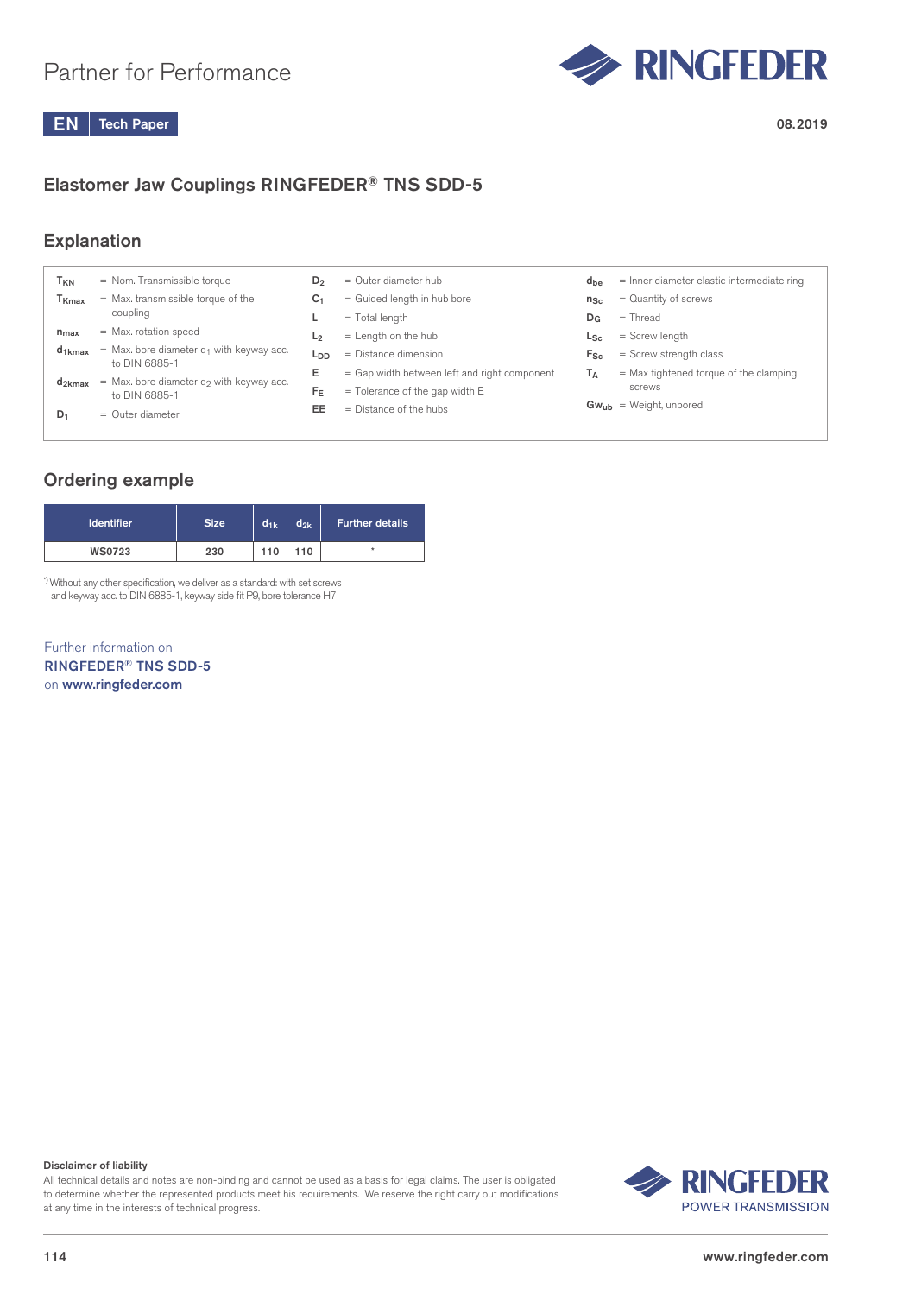

### Elastomer Jaw Couplings RINGFEDER® TNS SDD-5

#### Explanation

| T <sub>KN</sub>   | $=$ Nom. Transmissible torque                                  | D <sub>2</sub>  | $=$ Outer diameter hub                       | $d_{be}$     | $=$ Inner diameter elastic intermediate ring |
|-------------------|----------------------------------------------------------------|-----------------|----------------------------------------------|--------------|----------------------------------------------|
| T <sub>Kmax</sub> | $=$ Max. transmissible torque of the                           | C <sub>1</sub>  | = Guided length in hub bore                  | $n_{Sc}$     | $=$ Quantity of screws                       |
|                   | coupling                                                       |                 | $=$ Total length                             | $D_{G}$      | $=$ Thread                                   |
| $n_{max}$         | = Max. rotation speed                                          | L <sub>2</sub>  | $=$ Length on the hub                        | $L_{\rm Sc}$ | $=$ Screw length                             |
| $d_{1kmax}$       | $=$ Max. bore diameter $d_1$ with keyway acc.<br>to DIN 6885-1 | L <sub>DD</sub> | $=$ Distance dimension                       | $F_{\rm Sc}$ | $=$ Screw strength class                     |
|                   |                                                                | Е               | = Gap width between left and right component | Tд           | $=$ Max tightened torque of the clamping     |
| $d_{2kmax}$       | $=$ Max. bore diameter do with keyway acc.<br>to DIN 6885-1    | $F_E$           | $=$ Tolerance of the gap width E             |              | screws                                       |
| $D_1$             | $=$ Outer diameter                                             | EE              | $=$ Distance of the hubs                     |              | $Gw_{ub}$ = Weight, unbored                  |

#### Ordering example

| <b>Identifier</b> | <b>Size</b> | $d_{1k}$ | $d_{2k}$ | <b>Further details</b> |
|-------------------|-------------|----------|----------|------------------------|
| <b>WS0723</b>     | 230         | 110      | 110      | ÷                      |

\*) Without any other specification, we deliver as a standard: with set screws and keyway acc. to DIN 6885-1, keyway side fit P9, bore tolerance H7

Further information on RINGFEDER® TNS SDD-5 on www.ringfeder.com

#### Disclaimer of liability

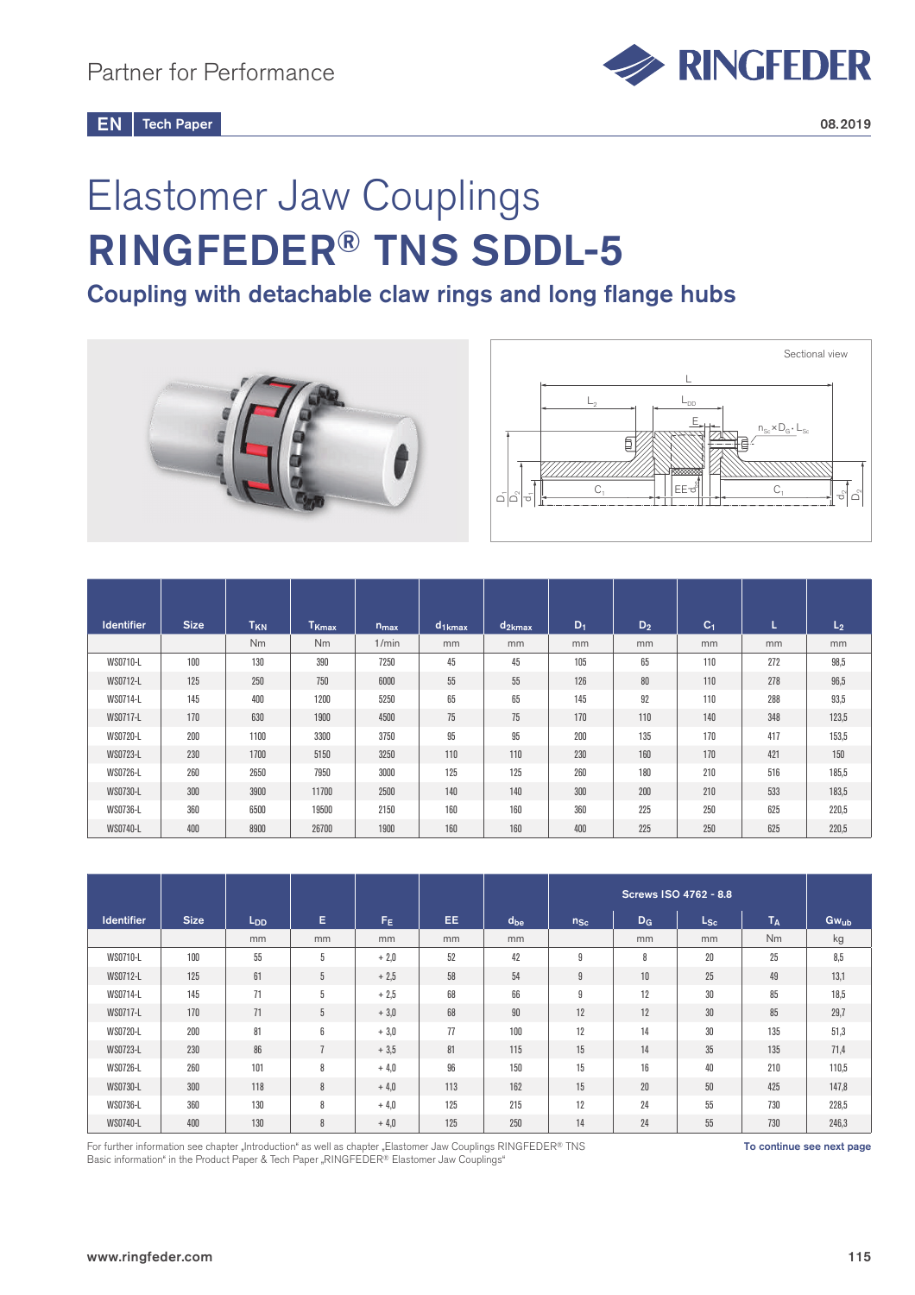

# Elastomer Jaw Couplings RINGFEDER® TNS SDDL-5

Coupling with detachable claw rings and long flange hubs





| <b>Identifier</b> | <b>Size</b> | T <sub>KN</sub> | T <sub>Kmax</sub> | $n_{max}$ | $d_{1kmax}$ | $d_{2kmax}$ | $D_1$ | $D_2$ | C <sub>1</sub> | L   | L <sub>2</sub> |
|-------------------|-------------|-----------------|-------------------|-----------|-------------|-------------|-------|-------|----------------|-----|----------------|
|                   |             | N <sub>m</sub>  | <b>Nm</b>         | 1/min     | mm          | mm          | mm    | mm    | mm             | mm  | mm             |
| WS0710-L          | 100         | 130             | 390               | 7250      | 45          | 45          | 105   | 65    | 110            | 272 | 98,5           |
| WS0712-L          | 125         | 250             | 750               | 6000      | 55          | 55          | 126   | 80    | 110            | 278 | 96,5           |
| WS0714-L          | 145         | 400             | 1200              | 5250      | 65          | 65          | 145   | 92    | 110            | 288 | 93,5           |
| WS0717-L          | 170         | 630             | 1900              | 4500      | 75          | 75          | 170   | 110   | 140            | 348 | 123,5          |
| WS0720-L          | 200         | 1100            | 3300              | 3750      | 95          | 95          | 200   | 135   | 170            | 417 | 153,5          |
| WS0723-L          | 230         | 1700            | 5150              | 3250      | 110         | 110         | 230   | 160   | 170            | 421 | 150            |
| WS0726-L          | 260         | 2650            | 7950              | 3000      | 125         | 125         | 260   | 180   | 210            | 516 | 185,5          |
| WS0730-L          | 300         | 3900            | 11700             | 2500      | 140         | 140         | 300   | 200   | 210            | 533 | 183,5          |
| WS0736-L          | 360         | 6500            | 19500             | 2150      | 160         | 160         | 360   | 225   | 250            | 625 | 220,5          |
| WS0740-L          | 400         | 8900            | 26700             | 1900      | 160         | 160         | 400   | 225   | 250            | 625 | 220,5          |

| <b>Identifier</b> | <b>Size</b> | L <sub>DD</sub> | E.             | F <sub>E</sub> | EE. | $d_{be}$ | $n_{Sc}$ | $D_G$ | $_{\mathsf{LSc}}$ | $T_A$ | $Gw_{ub}$ |
|-------------------|-------------|-----------------|----------------|----------------|-----|----------|----------|-------|-------------------|-------|-----------|
|                   |             | mm              | mm             | mm             | mm  | mm       |          | mm    | mm                | Nm    | kg        |
| WS0710-L          | 100         | 55              | 5              | $+2.0$         | 52  | 42       | g        | 8     | 20                | 25    | 8,5       |
| WS0712-L          | 125         | 61              | 5              | $+2.5$         | 58  | 54       | 9        | 10    | 25                | 49    | 13,1      |
| WS0714-L          | 145         | 71              | 5              | $+2,5$         | 68  | 66       | 9        | 12    | 30                | 85    | 18,5      |
| WS0717-L          | 170         | 71              | 5              | $+3.0$         | 68  | 90       | 12       | 12    | 30 <sup>°</sup>   | 85    | 29,7      |
| WS0720-L          | 200         | 81              | 6              | $+3.0$         | 77  | 100      | 12       | 14    | 30                | 135   | 51,3      |
| WS0723-L          | 230         | 86              | $\overline{z}$ | $+3.5$         | 81  | 115      | 15       | 14    | 35                | 135   | 71,4      |
| WS0726-L          | 260         | 101             | 8              | $+4.0$         | 96  | 150      | 15       | 16    | 40                | 210   | 110,5     |
| WS0730-L          | 300         | 118             | 8              | $+4.0$         | 113 | 162      | 15       | 20    | 50                | 425   | 147,8     |
| WS0736-L          | 360         | 130             | 8              | $+4.0$         | 125 | 215      | 12       | 24    | 55                | 730   | 228,5     |
| WS0740-L          | 400         | 130             | 8              | $+4,0$         | 125 | 250      | 14       | 24    | 55                | 730   | 246,3     |

For further information see chapter "Introduction" as well as chapter "Elastomer Jaw Couplings RINGFEDER® TNS **The State of the Continue see next page** Basic information" in the Product Paper & Tech Paper "RINGFEDER® Elastomer Jaw Couplings"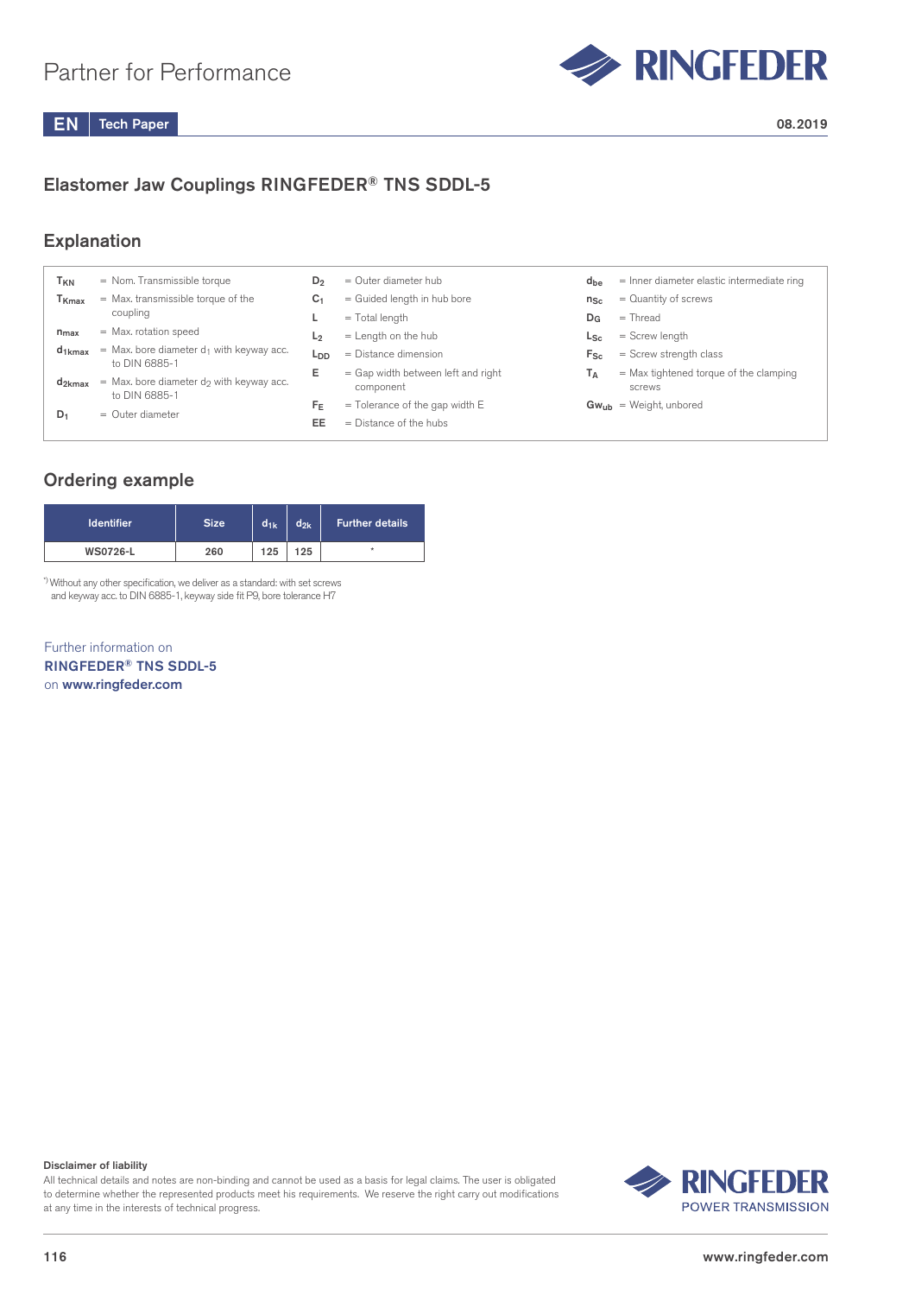

### Elastomer Jaw Couplings RINGFEDER® TNS SDDL-5

#### **Explanation**

| T <sub>KN</sub>   | $=$ Nom. Transmissible torque                                           | D <sub>2</sub>  | $=$ Outer diameter hub                                       | $d_{be}$     | $=$ Inner diameter elastic intermediate ring       |
|-------------------|-------------------------------------------------------------------------|-----------------|--------------------------------------------------------------|--------------|----------------------------------------------------|
| T <sub>Kmax</sub> | $=$ Max. transmissible torque of the                                    | C <sub>1</sub>  | = Guided length in hub bore                                  | $n_{Sc}$     | $=$ Quantity of screws                             |
|                   | coupling                                                                |                 | $=$ Total length                                             | $D_G$        | $=$ Thread                                         |
| $n_{max}$         | $=$ Max. rotation speed                                                 | L <sub>2</sub>  | $=$ Length on the hub                                        | $L_{\rm Sc}$ | $=$ Screw length                                   |
| $d_{1kmax}$       | = Max. bore diameter $d_1$ with keyway acc.<br>to DIN 6885-1            | L <sub>DD</sub> | $=$ Distance dimension                                       | $F_{\rm Sc}$ | $=$ Screw strength class                           |
| $d_{2kmax}$       | $=$ Max. bore diameter d <sub>2</sub> with keyway acc.<br>to DIN 6885-1 | Е               | $=$ Gap width between left and right<br>component            | Τд           | $=$ Max tightened torque of the clamping<br>screws |
| $D_1$             | $=$ Outer diameter                                                      | Fε<br>EE        | $=$ Tolerance of the gap width E<br>$=$ Distance of the hubs |              | $Gw_{ub}$ = Weight, unbored                        |

#### Ordering example

| <b>Identifier</b> | <b>Size</b> | $d_{1k}$ | $d_{2k}$ | <b>Further details</b> |  |  |
|-------------------|-------------|----------|----------|------------------------|--|--|
| <b>WS0726-L</b>   | 260         | 125      | 125      | ٠                      |  |  |

\*) Without any other specification, we deliver as a standard: with set screws and keyway acc. to DIN 6885-1, keyway side fit P9, bore tolerance H7

Further information on RINGFEDER® TNS SDDL-5 on www.ringfeder.com

#### Disclaimer of liability

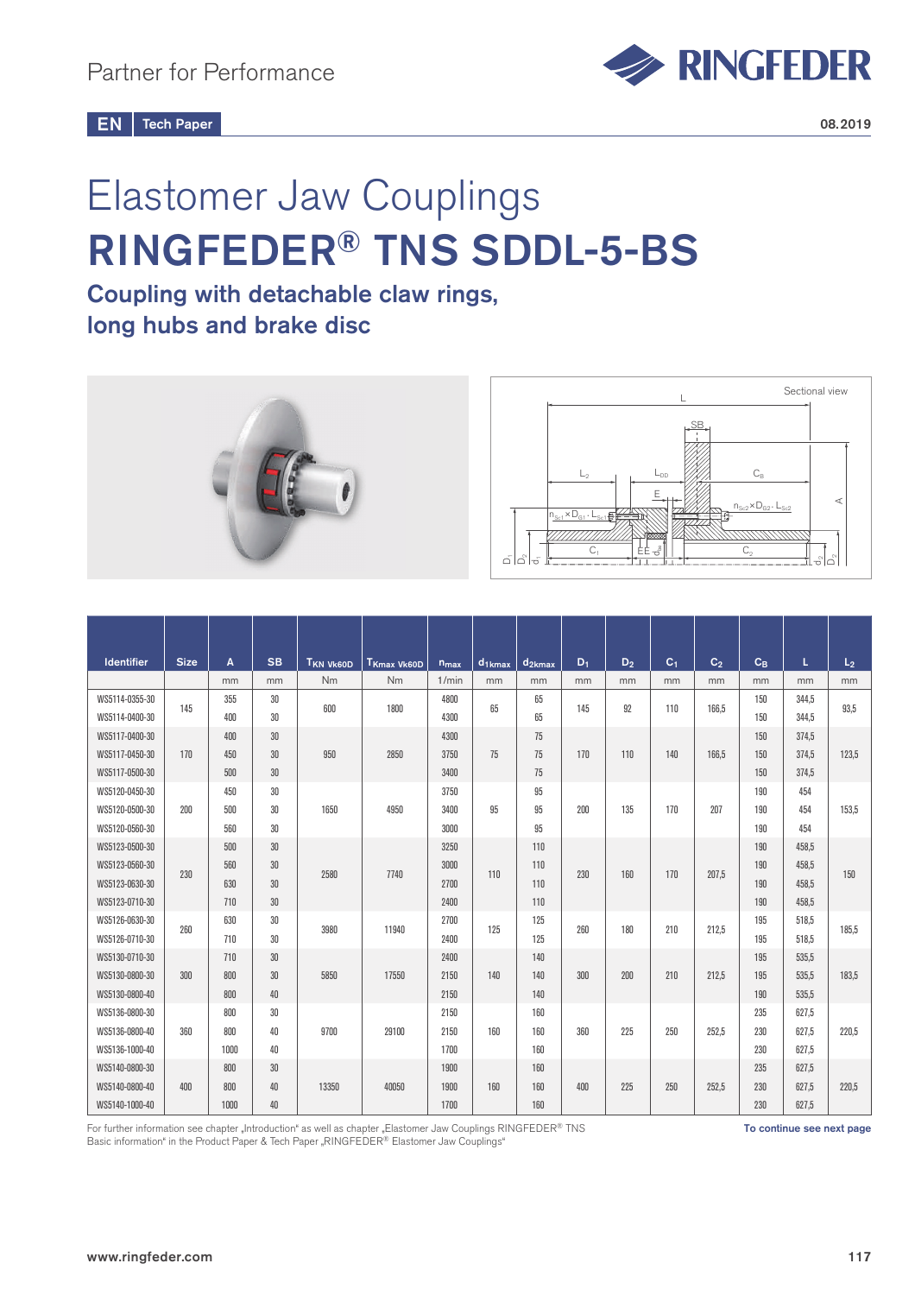

# Elastomer Jaw Couplings RINGFEDER® TNS SDDL-5-BS

## Coupling with detachable claw rings, long hubs and brake disc



| <b>Identifier</b> | <b>Size</b> | A    | <b>SB</b> | <b>TKN VK60D</b> | T <sub>Kmax</sub> Vk60D | $n_{max}$ | $d_{1kmax}$ | $d_{2kmax}$ | $D_1$ | D <sub>2</sub> | C <sub>1</sub> | C <sub>2</sub> | $C_B$ | L     | L <sub>2</sub> |
|-------------------|-------------|------|-----------|------------------|-------------------------|-----------|-------------|-------------|-------|----------------|----------------|----------------|-------|-------|----------------|
|                   |             | mm   | mm        | Nm               | Nm                      | 1/min     | mm          | mm          | mm    | mm             | mm             | mm             | mm    | mm    | mm             |
| WS5114-0355-30    | 145         | 355  | 30        | 600              | 1800                    | 4800      | 65          | 65          | 145   | 92             | 110            | 166.5          | 150   | 344,5 | 93.5           |
| WS5114-0400-30    |             | 400  | 30        |                  |                         | 4300      |             | 65          |       |                |                |                | 150   | 344,5 |                |
| WS5117-0400-30    |             | 400  | 30        |                  |                         | 4300      |             | 75          |       |                |                |                | 150   | 374,5 |                |
| WS5117-0450-30    | 170         | 450  | 30        | 950              | 2850                    | 3750      | 75          | 75          | 170   | 110            | 140            | 166,5          | 150   | 374,5 | 123,5          |
| WS5117-0500-30    |             | 500  | 30        |                  |                         | 3400      |             | 75          |       |                |                |                | 150   | 374.5 |                |
| WS5120-0450-30    |             | 450  | 30        |                  |                         | 3750      |             | 95          |       |                |                |                | 190   | 454   |                |
| WS5120-0500-30    | 200         | 500  | 30        | 1650             | 4950                    | 3400      | 95          | 95          | 200   | 135            | 170            | 207            | 190   | 454   | 153.5          |
| WS5120-0560-30    |             | 560  | 30        |                  |                         | 3000      |             | 95          |       |                |                |                | 190   | 454   |                |
| WS5123-0500-30    |             | 500  | 30        |                  |                         | 3250      |             | 110         |       |                |                |                | 190   | 458.5 |                |
| WS5123-0560-30    | 230         | 560  | 30        | 2580             | 7740                    | 3000      | 110         | 110         | 230   | 160            | 170            | 207.5          | 190   | 458.5 | 150            |
| WS5123-0630-30    |             | 630  | 30        |                  |                         | 2700      |             | 110         |       |                |                |                | 190   | 458.5 |                |
| WS5123-0710-30    |             | 710  | 30        |                  |                         | 2400      |             | 110         |       |                |                |                | 190   | 458,5 |                |
| WS5126-0630-30    | 260         | 630  | 30        | 3980             | 11940                   | 2700      | 125         | 125         | 260   | 180            | 210            | 212,5          | 195   | 518,5 | 185.5          |
| WS5126-0710-30    |             | 710  | 30        |                  |                         | 2400      |             | 125         |       |                |                |                | 195   | 518,5 |                |
| WS5130-0710-30    |             | 710  | 30        |                  |                         | 2400      |             | 140         |       |                |                |                | 195   | 535,5 |                |
| WS5130-0800-30    | 300         | 800  | 30        | 5850             | 17550                   | 2150      | 140         | 140         | 300   | 200            | 210            | 212,5          | 195   | 535,5 | 183,5          |
| WS5130-0800-40    |             | 800  | 40        |                  |                         | 2150      |             | 140         |       |                |                |                | 190   | 535.5 |                |
| WS5136-0800-30    |             | 800  | 30        |                  |                         | 2150      |             | 160         |       |                |                |                | 235   | 627,5 |                |
| WS5136-0800-40    | 360         | 800  | 40        | 9700             | 29100                   | 2150      | 160         | 160         | 360   | 225            | 250            | 252.5          | 230   | 627.5 | 220.5          |
| WS5136-1000-40    |             | 1000 | 40        |                  |                         | 1700      |             | 160         |       |                |                |                | 230   | 627,5 |                |
| WS5140-0800-30    |             | 800  | 30        |                  |                         | 1900      |             | 160         |       |                |                |                | 235   | 627,5 |                |
| WS5140-0800-40    | 400         | 800  | 40        | 13350            | 40050                   | 1900      | 160         | 160         | 400   | 225            | 250            | 252,5          | 230   | 627,5 | 220,5          |
| WS5140-1000-40    |             | 1000 | 40        |                  |                         | 1700      |             | 160         |       |                |                |                | 230   | 627,5 |                |

For further information see chapter "Introduction" as well as chapter "Elastomer Jaw Couplings RINGFEDER® TNS Basic information" in the Product Paper & Tech Paper "RINGFEDER® Elastomer Jaw Couplings"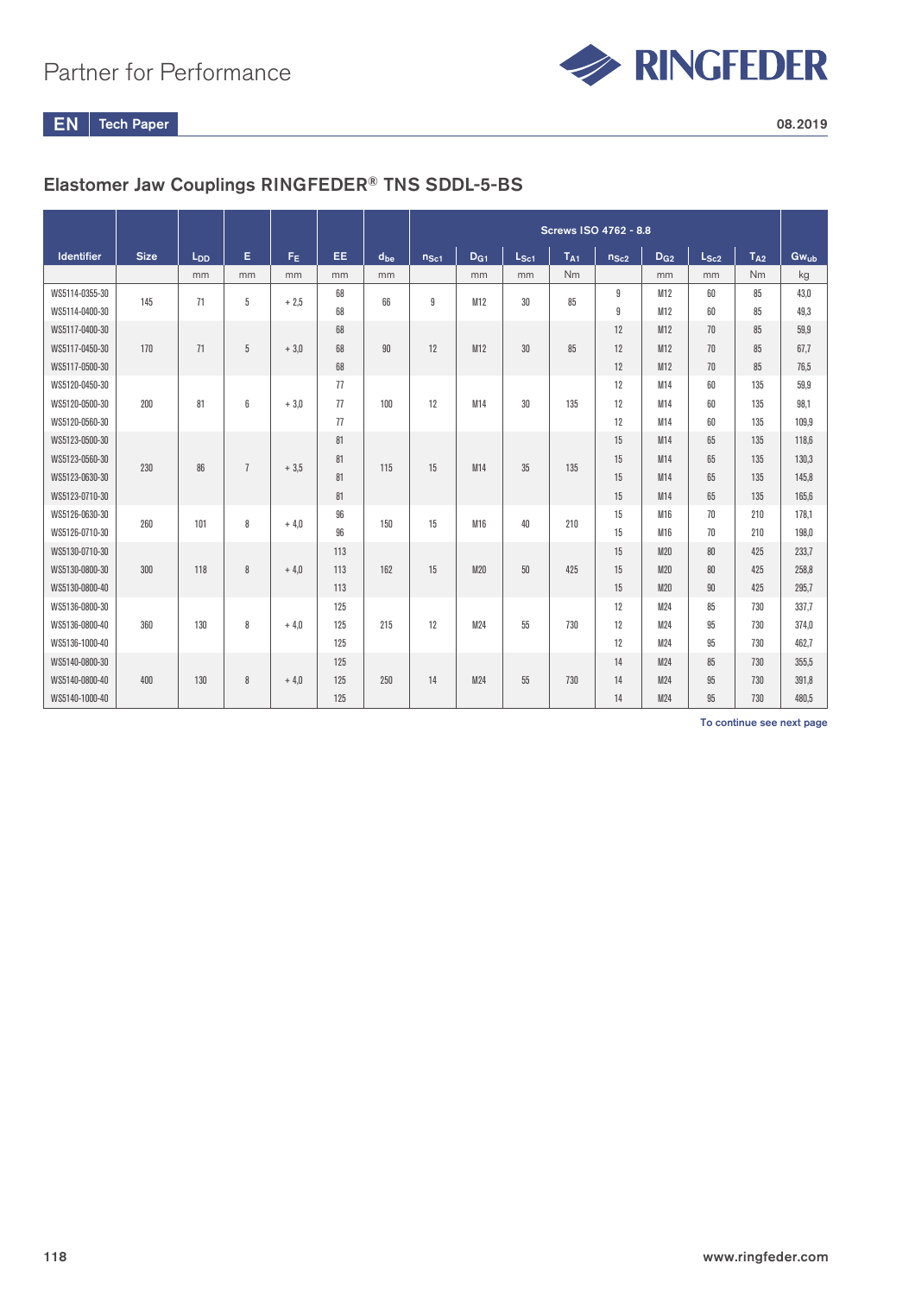

EN Tech Paper 2008.2019

## Elastomer Jaw Couplings RINGFEDER® TNS SDDL-5-BS

|                   |             |                 |                |                |     |          | Screws ISO 4762 - 8.8 |                 |               |                 |           |                 |           |          |           |
|-------------------|-------------|-----------------|----------------|----------------|-----|----------|-----------------------|-----------------|---------------|-----------------|-----------|-----------------|-----------|----------|-----------|
| <b>Identifier</b> | <b>Size</b> | L <sub>DD</sub> | Е              | F <sub>E</sub> | EE. | $d_{be}$ | $n_{\rm Sc1}$         | D <sub>G1</sub> | $L_{\rm Sc1}$ | T <sub>A1</sub> | $n_{Sc2}$ | D <sub>G2</sub> | $L_{Sc2}$ | $T_{A2}$ | $Gw_{ub}$ |
|                   |             | mm              | mm             | mm             | mm  | mm       |                       | mm              | mm            | <b>Nm</b>       |           | mm              | mm        | Nm       | kg        |
| WS5114-0355-30    | 145         | 71              | 5              | $+2.5$         | 68  | 66       | 9                     | M12             | 30            | 85              | 9         | M12             | 60        | 85       | 43,0      |
| WS5114-0400-30    |             |                 |                |                | 68  |          |                       |                 |               |                 | 9         | M12             | 60        | 85       | 49.3      |
| WS5117-0400-30    |             |                 |                |                | 68  |          |                       |                 |               |                 | 12        | M12             | 70        | 85       | 59,9      |
| WS5117-0450-30    | 170         | 71              | 5              | $+3.0$         | 68  | 90       | 12                    | M12             | 30            | 85              | 12        | M12             | 70        | 85       | 67.7      |
| WS5117-0500-30    |             |                 |                |                | 68  |          |                       |                 |               |                 | 12        | M12             | 70        | 85       | 76.5      |
| WS5120-0450-30    |             |                 |                |                | 77  |          |                       |                 |               |                 | 12        | M14             | 60        | 135      | 59,9      |
| WS5120-0500-30    | 200         | 81              | 6              | $+3.0$         | 77  | 100      | 12                    | M14             | 30            | 135             | 12        | M14             | 60        | 135      | 98,1      |
| WS5120-0560-30    |             |                 |                |                | 77  |          |                       |                 |               |                 | 12        | M14             | 60        | 135      | 109.9     |
| WS5123-0500-30    |             |                 |                |                | 81  |          |                       |                 |               |                 | 15        | M14             | 65        | 135      | 118,6     |
| WS5123-0560-30    | 230         | 86              | $\overline{1}$ | $+3.5$         | 81  | 115      | 15                    | M14             | 35            | 135             | 15        | M14             | 65        | 135      | 130,3     |
| WS5123-0630-30    |             |                 |                |                | 81  |          |                       |                 |               |                 | 15        | M14             | 65        | 135      | 145.8     |
| WS5123-0710-30    |             |                 |                |                | 81  |          |                       |                 |               |                 | 15        | M14             | 65        | 135      | 165.6     |
| WS5126-0630-30    | 260         | 101             | 8              | $+4.0$         | 96  | 150      | 15                    | M16             | 40            | 210             | 15        | M16             | 70        | 210      | 178.1     |
| WS5126-0710-30    |             |                 |                |                | 96  |          |                       |                 |               |                 | 15        | M16             | 70        | 210      | 198.0     |
| WS5130-0710-30    |             |                 |                |                | 113 |          |                       |                 |               |                 | 15        | M20             | 80        | 425      | 233.7     |
| WS5130-0800-30    | 300         | 118             | 8              | $+4.0$         | 113 | 162      | 15                    | M20             | 50            | 425             | 15        | M20             | 80        | 425      | 258,8     |
| WS5130-0800-40    |             |                 |                |                | 113 |          |                       |                 |               |                 | 15        | M20             | 90        | 425      | 295,7     |
| WS5136-0800-30    |             |                 |                |                | 125 |          |                       |                 |               |                 | 12        | M24             | 85        | 730      | 337.7     |
| WS5136-0800-40    | 360         | 130             | 8              | $+4.0$         | 125 | 215      | 12                    | M24             | 55            | 730             | 12        | M24             | 95        | 730      | 374.0     |
| WS5136-1000-40    |             |                 |                |                | 125 |          |                       |                 |               |                 | 12        | M24             | 95        | 730      | 462.7     |
| WS5140-0800-30    |             |                 |                |                | 125 |          |                       |                 |               |                 | 14        | M24             | 85        | 730      | 355.5     |
| WS5140-0800-40    | 400         | 130             | 8              | $+4.0$         | 125 | 250      | 14                    | M24             | 55            | 730             | 14        | M24             | 95        | 730      | 391.8     |
| WS5140-1000-40    |             |                 |                |                | 125 |          |                       |                 |               |                 | 14        | M24             | 95        | 730      | 480.5     |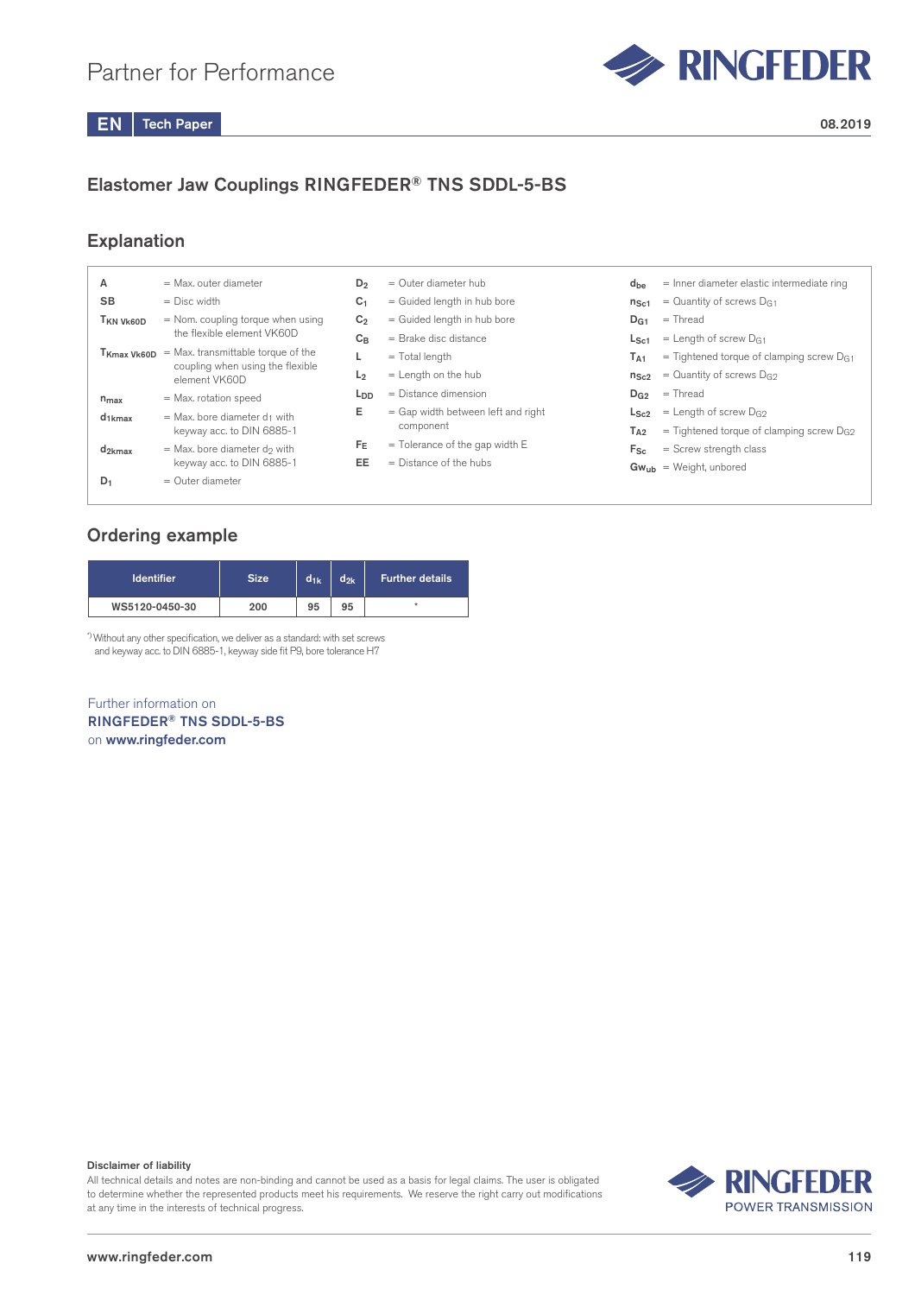

## Elastomer Jaw Couplings RINGFEDER® TNS SDDL-5-BS

#### **Explanation**

| А                                  | = Max. outer diameter                                                                        | $D_2$           | $=$ Outer diameter hub               | $d_{be}$        | = Inner diameter elastic intermediate ring    |
|------------------------------------|----------------------------------------------------------------------------------------------|-----------------|--------------------------------------|-----------------|-----------------------------------------------|
| <b>SB</b>                          | $=$ Disc width                                                                               | C <sub>1</sub>  | = Guided length in hub bore          | $n_{\rm Sc1}$   | = Quantity of screws $D_{G1}$                 |
| T <sub>KN</sub> V <sub>k60</sub> D | = Nom. coupling torque when using                                                            | C <sub>2</sub>  | = Guided length in hub bore          | D <sub>G1</sub> | $=$ Thread                                    |
|                                    | the flexible element VK60D                                                                   | $C_B$           | $=$ Brake disc distance              | $L_{\rm Sc1}$   | $=$ Length of screw D <sub>G1</sub>           |
|                                    | $T_{Kmax}$ $V_{K60D}$ = Max. transmittable torque of the<br>coupling when using the flexible |                 | $=$ Total length                     | $T_{A1}$        | = Tightened torque of clamping screw $D_{G1}$ |
|                                    | element VK60D                                                                                | L <sub>2</sub>  | $=$ Length on the hub                | $n_{Sc2}$       | = Quantity of screws $D_{G2}$                 |
| $n_{max}$                          | = Max. rotation speed                                                                        | L <sub>DD</sub> | $=$ Distance dimension               | $D_{G2}$        | $=$ Thread                                    |
| $d_{1kmax}$                        | $=$ Max. bore diameter $d_1$ with                                                            | Е               | $=$ Gap width between left and right | $L_{Sc2}$       | $=$ Length of screw D <sub>G2</sub>           |
|                                    | keyway acc. to DIN 6885-1                                                                    |                 | component                            | $T_{A2}$        | = Tightened torque of clamping screw $D_{G2}$ |
| $d_{2kmax}$                        | $=$ Max. bore diameter do with                                                               | $F_E$           | $=$ Tolerance of the gap width E     | $F_{Sc}$        | $=$ Screw strength class                      |
|                                    | keyway acc. to DIN 6885-1                                                                    | EE              | $=$ Distance of the hubs             |                 | $Gw_{ub}$ = Weight, unbored                   |
| $D_1$                              | $=$ Outer diameter                                                                           |                 |                                      |                 |                                               |
|                                    |                                                                                              |                 |                                      |                 |                                               |

#### Ordering example

| <b>Identifier</b> | <b>Size</b> | $d_{1k}$ | $d_{2k}$ | <b>Further details</b> |
|-------------------|-------------|----------|----------|------------------------|
| WS5120-0450-30    | 200         | 95       | 95       | ÷                      |

\*) Without any other specification, we deliver as a standard: with set screws and keyway acc. to DIN 6885-1, keyway side fit P9, bore tolerance H7

Further information on RINGFEDER® TNS SDDL-5-BS on www.ringfeder.com

#### Disclaimer of liability

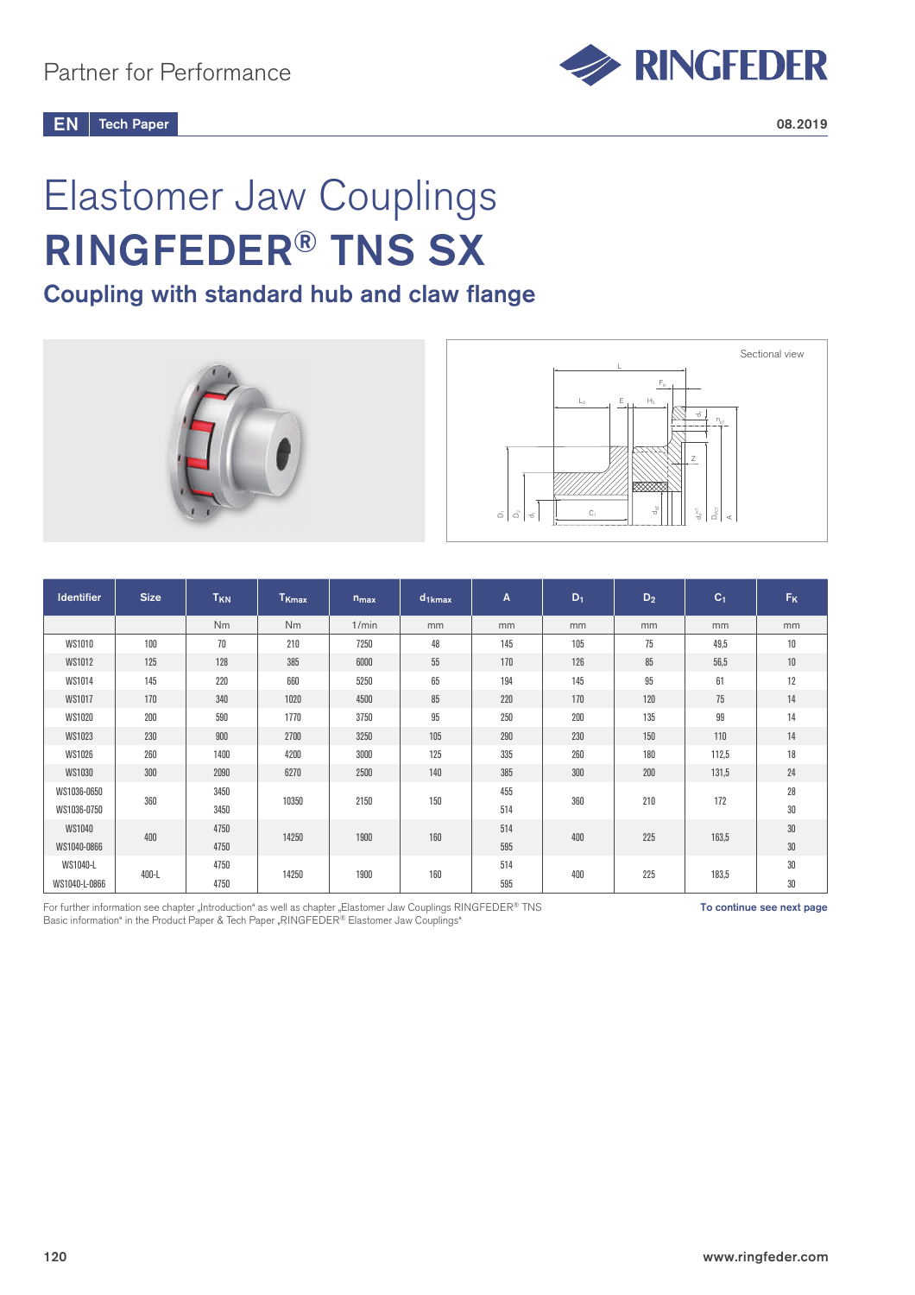

#### Tech Paper  $EN \parallel$  Tech Paper 2008.2019

# Elastomer Jaw Couplings RINGFEDER® TNS SX

## Coupling with standard hub and claw flange





| <b>Identifier</b> | <b>Size</b> | T <sub>KN</sub> | T <sub>Kmax</sub> | $n_{max}$ | $d_{1kmax}$ | A   | $D_1$ | $D_2$ | C <sub>1</sub> | <b>F<sub>K</sub></b> |
|-------------------|-------------|-----------------|-------------------|-----------|-------------|-----|-------|-------|----------------|----------------------|
|                   |             | Nm              | Nm                | 1/min     | mm          | mm  | mm    | mm    | mm             | mm                   |
| <b>WS1010</b>     | 100         | 70              | 210               | 7250      | 48          | 145 | 105   | 75    | 49,5           | 10                   |
| WS1012            | 125         | 128             | 385               | 6000      | 55          | 170 | 126   | 85    | 56,5           | 10                   |
| WS1014            | 145         | 220             | 660               | 5250      | 65          | 194 | 145   | 95    | 61             | 12                   |
| <b>WS1017</b>     | 170         | 340             | 1020              | 4500      | 85          | 220 | 170   | 120   | 75             | 14                   |
| <b>WS1020</b>     | 200         | 590             | 1770              | 3750      | 95          | 250 | 200   | 135   | 99             | 14                   |
| WS1023            | 230         | 900             | 2700              | 3250      | 105         | 290 | 230   | 150   | 110            | 14                   |
| <b>WS1026</b>     | 260         | 1400            | 4200              | 3000      | 125         | 335 | 260   | 180   | 112,5          | 18                   |
| <b>WS1030</b>     | 300         | 2090            | 6270              | 2500      | 140         | 385 | 300   | 200   | 131,5          | 24                   |
| WS1036-0650       | 360         | 3450            | 10350             | 2150      | 150         | 455 |       | 210   | 172            | 28                   |
| WS1036-0750       |             | 3450            |                   |           |             | 514 | 360   |       |                | 30                   |
| <b>WS1040</b>     |             | 4750            |                   |           | 160         | 514 | 400   |       |                | $30\,$               |
| WS1040-0866       | 400         | 4750            | 14250             | 1900      |             | 595 |       | 225   | 163,5          | 30                   |
| WS1040-L          | 400-L       | 4750            | 14250             | 1900      | 160         | 514 | 400   | 225   | 183,5          | 30                   |
| WS1040-L-0866     |             | 4750            |                   |           |             | 595 |       |       |                | 30                   |

For further information see chapter "Introduction" as well as chapter "Elastomer Jaw Couplings RINGFEDER® TNS Basic information" in the Product Paper & Tech Paper "RINGFEDER® Elastomer Jaw Couplings"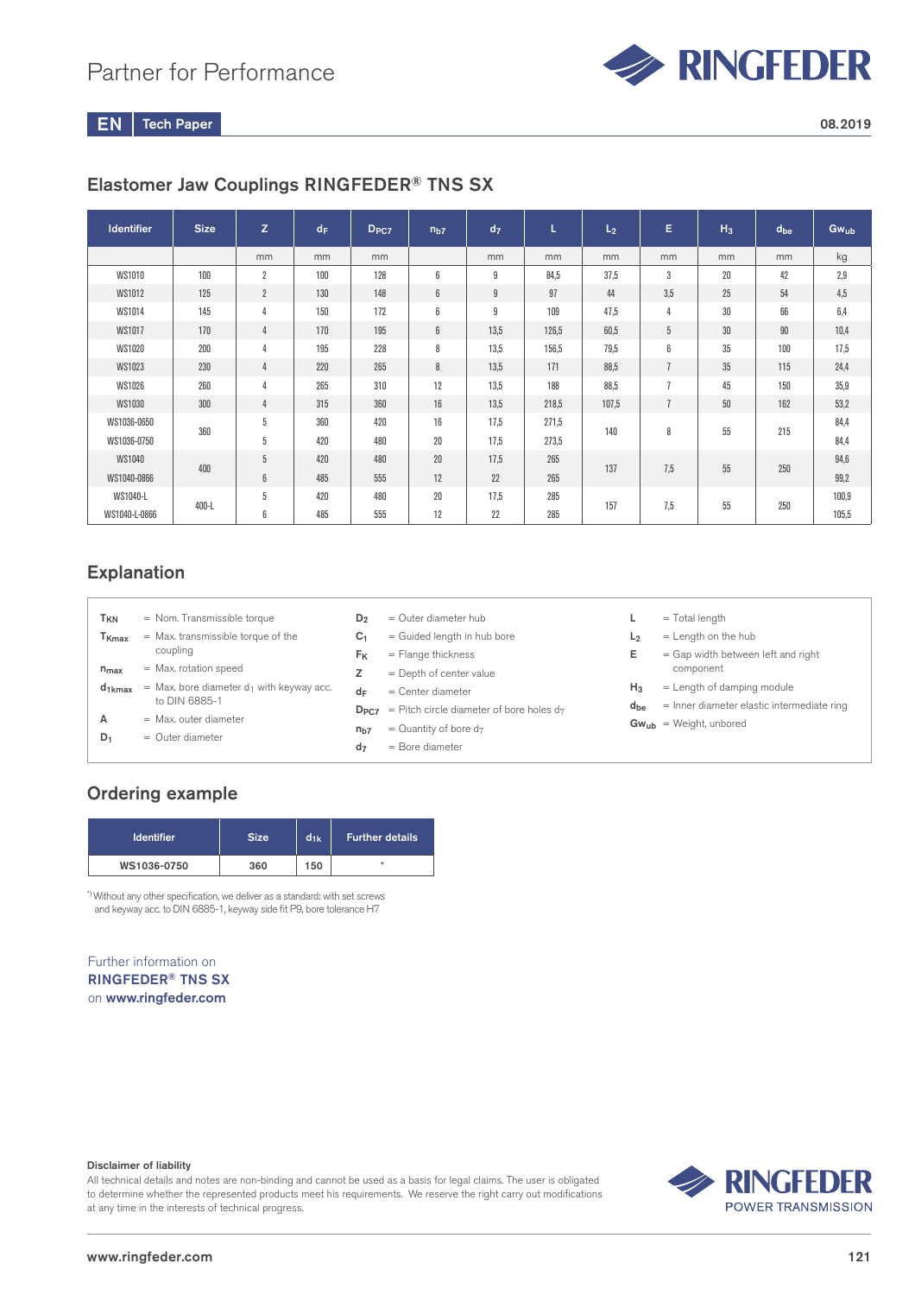

Tech Paper  $EN$  Tech Paper 2008.2019

### Elastomer Jaw Couplings RINGFEDER® TNS SX

| <b>Identifier</b> | <b>Size</b> | z              | $d_F$ | D <sub>PC7</sub> | n <sub>b7</sub> | d <sub>7</sub> | ц     | L <sub>2</sub> | Е              | $H_3$ | $d_{be}$ | $Gw_{ub}$ |
|-------------------|-------------|----------------|-------|------------------|-----------------|----------------|-------|----------------|----------------|-------|----------|-----------|
|                   |             | mm             | mm    | mm               |                 | mm             | mm    | mm             | mm             | mm    | mm       | kg        |
| <b>WS1010</b>     | 100         | $\overline{2}$ | 100   | 128              | 6               | 9              | 84,5  | 37,5           | 3              | 20    | 42       | 2,9       |
| <b>WS1012</b>     | 125         | $\overline{2}$ | 130   | 148              | 6               | 9              | 97    | 44             | 3,5            | 25    | 54       | 4,5       |
| WS1014            | 145         | 4              | 150   | 172              | 6               | 9              | 109   | 47,5           | 4              | 30    | 66       | 6,4       |
| WS1017            | 170         | 4              | 170   | 195              | 6               | 13,5           | 126,5 | 60,5           | 5              | 30    | 90       | 10,4      |
| <b>WS1020</b>     | 200         | 4              | 195   | 228              | 8               | 13.5           | 156,5 | 79,5           | 6              | 35    | 100      | 17,5      |
| <b>WS1023</b>     | 230         | 4              | 220   | 265              | 8               | 13,5           | 171   | 88,5           | $\overline{1}$ | 35    | 115      | 24,4      |
| <b>WS1026</b>     | 260         | 4              | 265   | 310              | 12              | 13.5           | 188   | 88,5           | $\overline{1}$ | 45    | 150      | 35,9      |
| <b>WS1030</b>     | 300         | 4              | 315   | 360              | 16              | 13.5           | 218.5 | 107,5          | $\overline{1}$ | 50    | 162      | 53,2      |
| WS1036-0650       | 360         | 5              | 360   | 420              | 16              | 17.5           | 271,5 | 140            |                |       | 215      | 84,4      |
| WS1036-0750       |             | 5              | 420   | 480              | 20              | 17.5           | 273,5 |                | 8              | 55    |          | 84,4      |
| <b>WS1040</b>     |             | 5              | 420   | 480              | 20              | 17.5           | 265   |                |                |       |          | 94,6      |
| WS1040-0866       | 400         | 6              | 485   | 555              | 12              | 22             | 265   | 137            | 7,5            | 55    | 250      | 99,2      |
| WS1040-L          |             | 5              | 420   | 480              | 20              | 17.5           | 285   |                |                |       |          | 100,9     |
| WS1040-L-0866     | $400-L$     | 6              | 485   | 555              | 12              | 22             | 285   | 157            | 7,5            | 55    | 250      | 105,5     |

#### Explanation

| T <sub>KN</sub>   | = Nom. Transmissible torque                   | D <sub>2</sub>  | $=$ Outer diameter hub                                         |                | $=$ Total length                             |
|-------------------|-----------------------------------------------|-----------------|----------------------------------------------------------------|----------------|----------------------------------------------|
| T <sub>Kmax</sub> | = Max. transmissible torque of the            | C <sub>1</sub>  | = Guided length in hub bore                                    | L <sub>2</sub> | $=$ Length on the hub                        |
|                   | coupling                                      | F <sub>K</sub>  | $=$ Flange thickness                                           | Е              | = Gap width between left and right           |
| $n_{max}$         | = Max. rotation speed                         |                 | $=$ Depth of center value                                      |                | component                                    |
| $d_{1kmax}$       | $=$ Max. bore diameter $d_1$ with keyway acc. | dF              | $=$ Center diameter                                            | $H_3$          | $=$ Length of damping module                 |
|                   | to DIN 6885-1                                 |                 | $D_{PC7}$ = Pitch circle diameter of bore holes d <sub>7</sub> | $d_{be}$       | $=$ Inner diameter elastic intermediate ring |
| А                 | $=$ Max, outer diameter                       | n <sub>b7</sub> | $=$ Quantity of bore d <sub>7</sub>                            |                | $Gw_{ub}$ = Weight, unbored                  |
| $D_1$             | $=$ Outer diameter                            | d <sub>7</sub>  | $=$ Bore diameter                                              |                |                                              |

#### Ordering example

| <b>Identifier</b> | <b>Size</b> | $d_{1k}$ | <b>Further details</b> |
|-------------------|-------------|----------|------------------------|
| WS1036-0750       | 360         | 150      |                        |

\*) Without any other specification, we deliver as a standard: with set screws and keyway acc. to DIN 6885-1, keyway side fit P9, bore tolerance H7

#### Further information on RINGFEDER® TNS SX on www.ringfeder.com

#### Disclaimer of liability

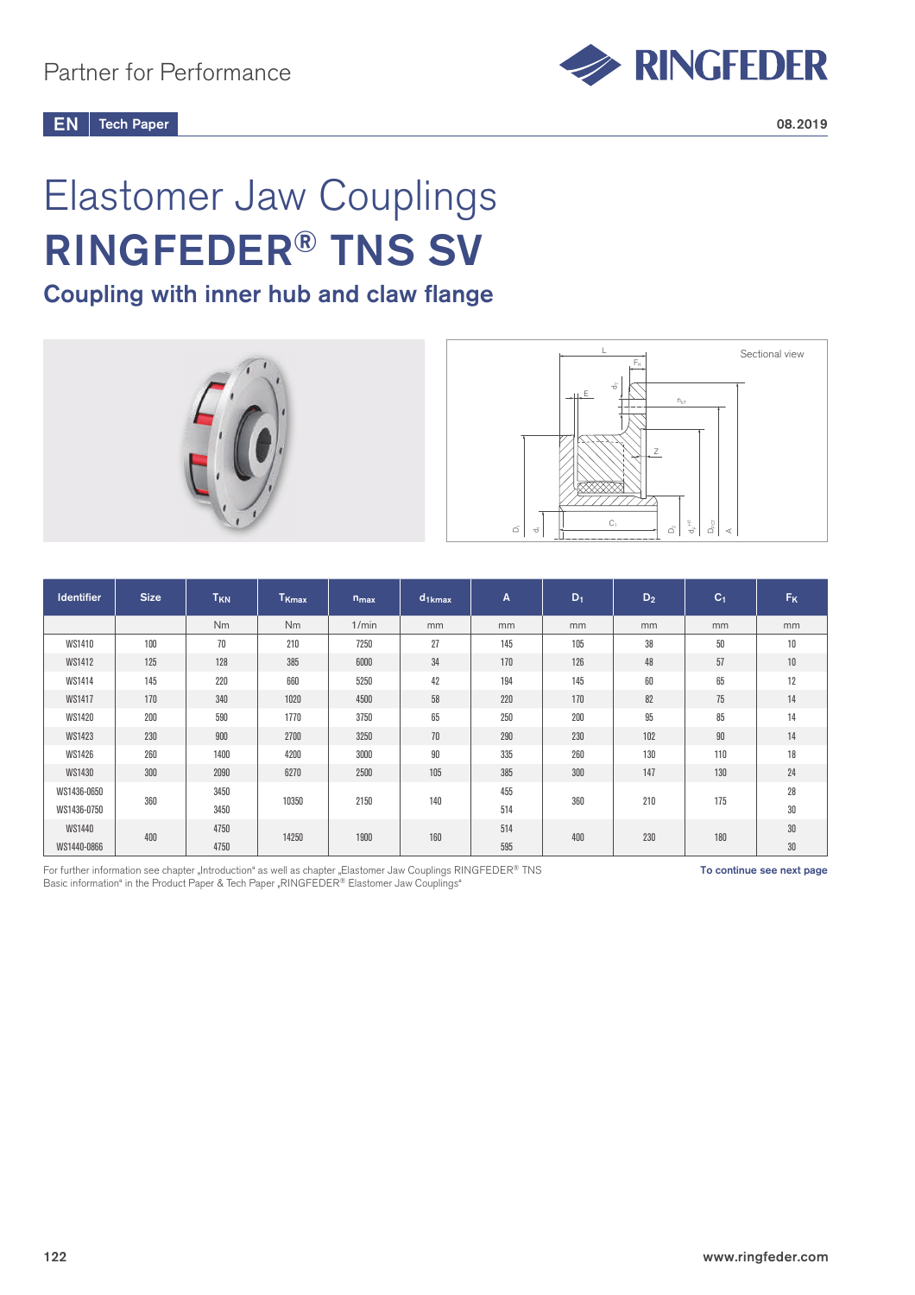

Tech Paper  $EN \parallel$  Tech Paper 2008.2019

# Elastomer Jaw Couplings RINGFEDER® TNS SV

## Coupling with inner hub and claw flange





| <b>Identifier</b> | <b>Size</b> | T <sub>KN</sub> | T <sub>Kmax</sub> | $n_{max}$ | $d_{1kmax}$ | A   | $D_1$ | $D_2$ | C <sub>1</sub> | <b>F<sub>K</sub></b> |
|-------------------|-------------|-----------------|-------------------|-----------|-------------|-----|-------|-------|----------------|----------------------|
|                   |             | <b>Nm</b>       | N <sub>m</sub>    | 1/min     | mm          | mm  | mm    | mm    | mm             | mm                   |
| WS1410            | 100         | 70              | 210               | 7250      | 27          | 145 | 105   | 38    | 50             | 10                   |
| WS1412            | 125         | 128             | 385               | 6000      | 34          | 170 | 126   | 48    | 57             | 10                   |
| WS1414            | 145         | 220             | 660               | 5250      | 42          | 194 | 145   | 60    | 65             | 12                   |
| <b>WS1417</b>     | 170         | 340             | 1020              | 4500      | 58          | 220 | 170   | 82    | 75             | 14                   |
| <b>WS1420</b>     | 200         | 590             | 1770              | 3750      | 65          | 250 | 200   | 95    | 85             | 14                   |
| WS1423            | 230         | 900             | 2700              | 3250      | 70          | 290 | 230   | 102   | $90\,$         | 14                   |
| WS1426            | 260         | 1400            | 4200              | 3000      | 90          | 335 | 260   | 130   | 110            | 18                   |
| WS1430            | 300         | 2090            | 6270              | 2500      | 105         | 385 | 300   | 147   | 130            | 24                   |
| WS1436-0650       |             | 3450            | 10350             | 2150      | 140         | 455 | 360   | 210   |                | 28                   |
| WS1436-0750       | 360         | 3450            |                   |           |             | 514 |       |       | 175            | 30                   |
| WS1440            |             | 4750            | 14250             | 1900      | 160         | 514 | 400   | 230   | 180            | $30\,$               |
| WS1440-0866       | 400         | 4750            |                   |           |             | 595 |       |       |                | $30\,$               |

For further information see chapter "Introduction" as well as chapter "Elastomer Jaw Couplings RINGFEDER® TNS Basic information" in the Product Paper & Tech Paper "RINGFEDER® Elastomer Jaw Couplings"